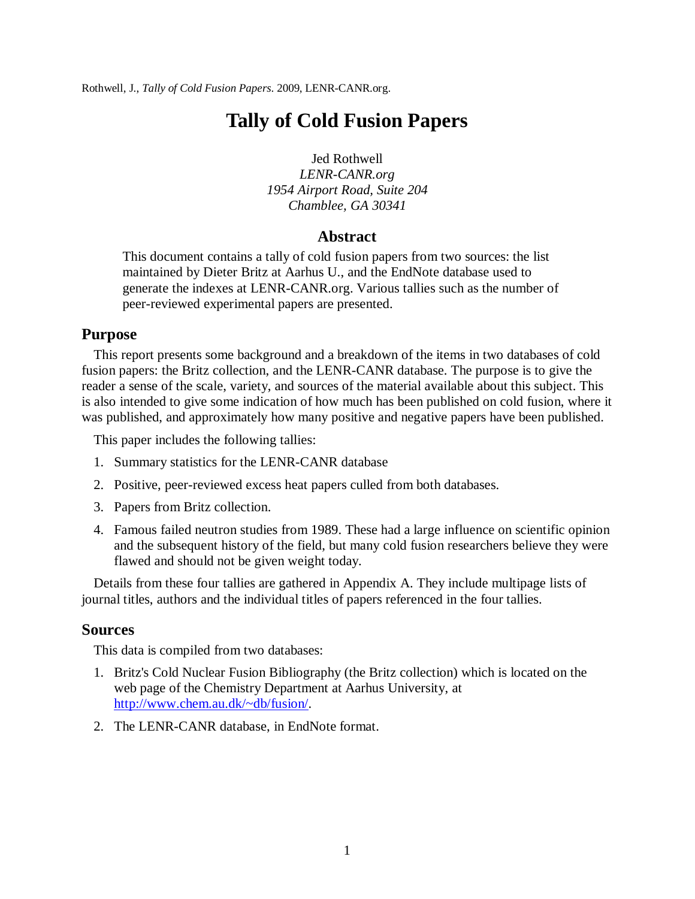Rothwell, J., *Tally of Cold Fusion Papers*. 2009, LENR-CANR.org.

# **Tally of Cold Fusion Papers**

Jed Rothwell *LENR-CANR.org 1954 Airport Road, Suite 204 Chamblee, GA 30341*

## **Abstract**

This document contains a tally of cold fusion papers from two sources: the list maintained by Dieter Britz at Aarhus U., and the EndNote database used to generate the indexes at LENR-CANR.org. Various tallies such as the number of peer-reviewed experimental papers are presented.

## **Purpose**

This report presents some background and a breakdown of the items in two databases of cold fusion papers: the Britz collection, and the LENR-CANR database. The purpose is to give the reader a sense of the scale, variety, and sources of the material available about this subject. This is also intended to give some indication of how much has been published on cold fusion, where it was published, and approximately how many positive and negative papers have been published.

This paper includes the following tallies:

- 1. Summary statistics for the LENR-CANR database
- 2. Positive, peer-reviewed excess heat papers culled from both databases.
- 3. Papers from Britz collection.
- 4. Famous failed neutron studies from 1989. These had a large influence on scientific opinion and the subsequent history of the field, but many cold fusion researchers believe they were flawed and should not be given weight today.

Details from these four tallies are gathered in Appendix A. They include multipage lists of journal titles, authors and the individual titles of papers referenced in the four tallies.

#### **Sources**

This data is compiled from two databases:

- 1. Britz's Cold Nuclear Fusion Bibliography (the Britz collection) which is located on the web page of the Chemistry Department at Aarhus University, at [http://www.chem.au.dk/~db/fusion/.](http://www.chem.au.dk/~db/fusion/)
- 2. The LENR-CANR database, in EndNote format.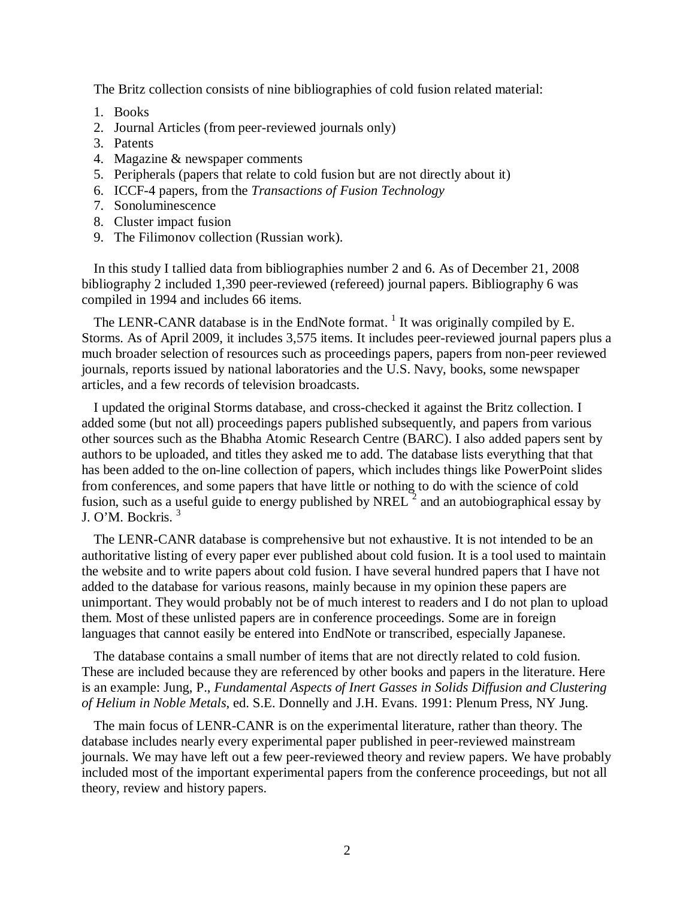The Britz collection consists of nine bibliographies of cold fusion related material:

- 1. Books
- 2. Journal Articles (from peer-reviewed journals only)
- 3. Patents
- 4. Magazine & newspaper comments
- 5. Peripherals (papers that relate to cold fusion but are not directly about it)
- 6. ICCF-4 papers, from the *Transactions of Fusion Technology*
- 7. Sonoluminescence
- 8. Cluster impact fusion
- 9. The Filimonov collection (Russian work).

In this study I tallied data from bibliographies number 2 and 6. As of December 21, 2008 bibliography 2 included 1,390 peer-reviewed (refereed) journal papers. Bibliography 6 was compiled in 1994 and includes 66 items.

The LENR-CANR database is in the EndNote format.  $^1$  $^1$  It was originally compiled by E. Storms. As of April 2009, it includes 3,575 items. It includes peer-reviewed journal papers plus a much broader selection of resources such as proceedings papers, papers from non-peer reviewed journals, reports issued by national laboratories and the U.S. Navy, books, some newspaper articles, and a few records of television broadcasts.

I updated the original Storms database, and cross-checked it against the Britz collection. I added some (but not all) proceedings papers published subsequently, and papers from various other sources such as the Bhabha Atomic Research Centre (BARC). I also added papers sent by authors to be uploaded, and titles they asked me to add. The database lists everything that that has been added to the on-line collection of papers, which includes things like PowerPoint slides from conferences, and some papers that have little or nothing to do with the science of cold fusion, such as a useful guide to energy published by NREL<sup> $2$ </sup> and an autobiographical essay by J. O'M. Bockris. [3](#page-34-2)

The LENR-CANR database is comprehensive but not exhaustive. It is not intended to be an authoritative listing of every paper ever published about cold fusion. It is a tool used to maintain the website and to write papers about cold fusion. I have several hundred papers that I have not added to the database for various reasons, mainly because in my opinion these papers are unimportant. They would probably not be of much interest to readers and I do not plan to upload them. Most of these unlisted papers are in conference proceedings. Some are in foreign languages that cannot easily be entered into EndNote or transcribed, especially Japanese.

The database contains a small number of items that are not directly related to cold fusion. These are included because they are referenced by other books and papers in the literature. Here is an example: Jung, P., *Fundamental Aspects of Inert Gasses in Solids Diffusion and Clustering of Helium in Noble Metals*, ed. S.E. Donnelly and J.H. Evans. 1991: Plenum Press, NY Jung.

The main focus of LENR-CANR is on the experimental literature, rather than theory. The database includes nearly every experimental paper published in peer-reviewed mainstream journals. We may have left out a few peer-reviewed theory and review papers. We have probably included most of the important experimental papers from the conference proceedings, but not all theory, review and history papers.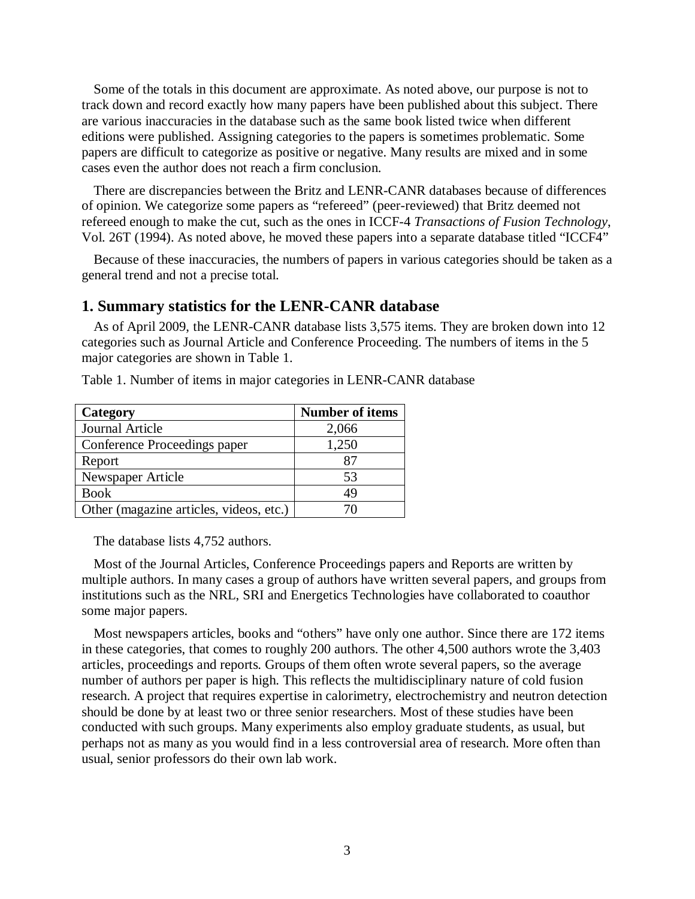Some of the totals in this document are approximate. As noted above, our purpose is not to track down and record exactly how many papers have been published about this subject. There are various inaccuracies in the database such as the same book listed twice when different editions were published. Assigning categories to the papers is sometimes problematic. Some papers are difficult to categorize as positive or negative. Many results are mixed and in some cases even the author does not reach a firm conclusion.

There are discrepancies between the Britz and LENR-CANR databases because of differences of opinion. We categorize some papers as "refereed" (peer-reviewed) that Britz deemed not refereed enough to make the cut, such as the ones in ICCF-4 *Transactions of Fusion Technology*, Vol. 26T (1994). As noted above, he moved these papers into a separate database titled "ICCF4"

Because of these inaccuracies, the numbers of papers in various categories should be taken as a general trend and not a precise total.

#### **1. Summary statistics for the LENR-CANR database**

As of April 2009, the LENR-CANR database lists 3,575 items. They are broken down into 12 categories such as Journal Article and Conference Proceeding. The numbers of items in the 5 major categories are shown in Table 1.

| Category                                | <b>Number of items</b> |
|-----------------------------------------|------------------------|
| Journal Article                         | 2,066                  |
| Conference Proceedings paper            | 1,250                  |
| Report                                  | 87                     |
| Newspaper Article                       | 53                     |
| <b>Book</b>                             | 49                     |
| Other (magazine articles, videos, etc.) |                        |

Table 1. Number of items in major categories in LENR-CANR database

The database lists 4,752 authors.

Most of the Journal Articles, Conference Proceedings papers and Reports are written by multiple authors. In many cases a group of authors have written several papers, and groups from institutions such as the NRL, SRI and Energetics Technologies have collaborated to coauthor some major papers.

Most newspapers articles, books and "others" have only one author. Since there are 172 items in these categories, that comes to roughly 200 authors. The other 4,500 authors wrote the 3,403 articles, proceedings and reports. Groups of them often wrote several papers, so the average number of authors per paper is high. This reflects the multidisciplinary nature of cold fusion research. A project that requires expertise in calorimetry, electrochemistry and neutron detection should be done by at least two or three senior researchers. Most of these studies have been conducted with such groups. Many experiments also employ graduate students, as usual, but perhaps not as many as you would find in a less controversial area of research. More often than usual, senior professors do their own lab work.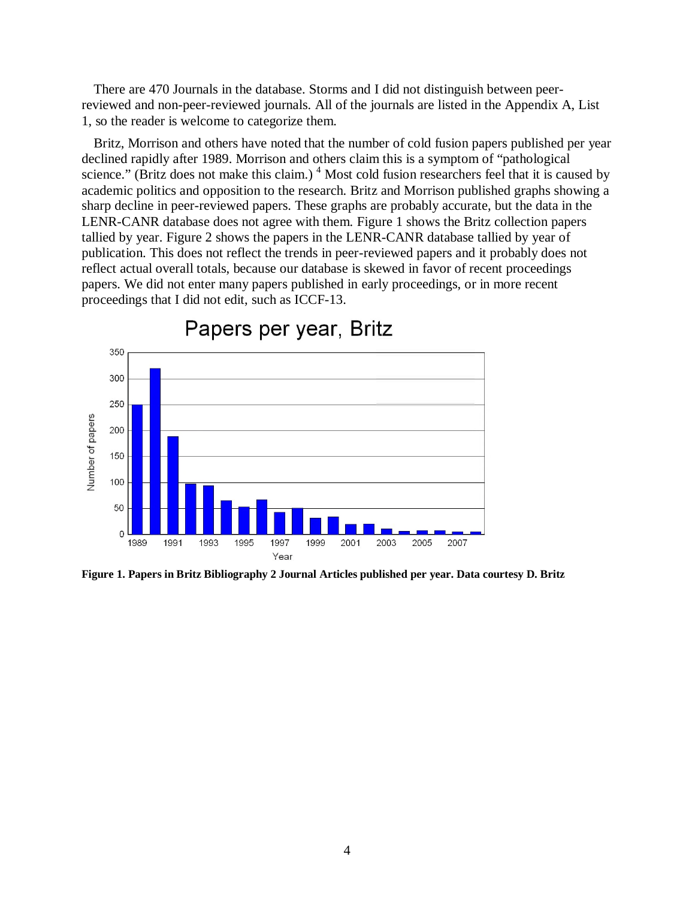There are 470 Journals in the database. Storms and I did not distinguish between peerreviewed and non-peer-reviewed journals. All of the journals are listed in the Appendix A, List 1, so the reader is welcome to categorize them.

Britz, Morrison and others have noted that the number of cold fusion papers published per year declined rapidly after 1989. Morrison and others claim this is a symptom of "pathological science." (Britz does not make this claim.)  $4$  Most cold fusion researchers feel that it is caused by academic politics and opposition to the research. Britz and Morrison published graphs showing a sharp decline in peer-reviewed papers. These graphs are probably accurate, but the data in the LENR-CANR database does not agree with them. Figure 1 shows the Britz collection papers tallied by year. Figure 2 shows the papers in the LENR-CANR database tallied by year of publication. This does not reflect the trends in peer-reviewed papers and it probably does not reflect actual overall totals, because our database is skewed in favor of recent proceedings papers. We did not enter many papers published in early proceedings, or in more recent proceedings that I did not edit, such as ICCF-13.



Papers per year, Britz

**Figure 1. Papers in Britz Bibliography 2 Journal Articles published per year. Data courtesy D. Britz**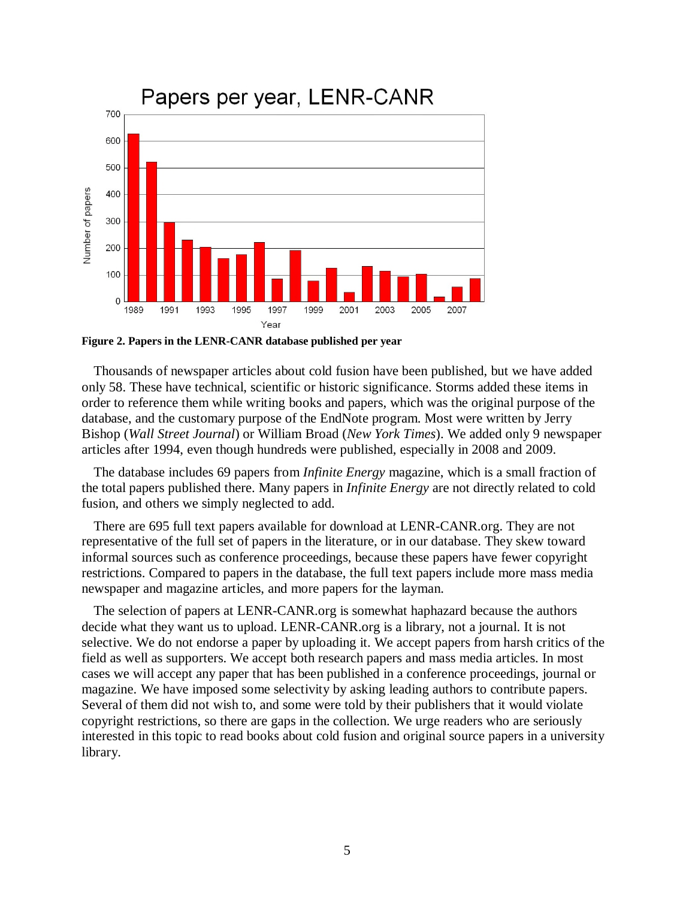

**Figure 2. Papers in the LENR-CANR database published per year**

Thousands of newspaper articles about cold fusion have been published, but we have added only 58. These have technical, scientific or historic significance. Storms added these items in order to reference them while writing books and papers, which was the original purpose of the database, and the customary purpose of the EndNote program. Most were written by Jerry Bishop (*Wall Street Journal*) or William Broad (*New York Times*). We added only 9 newspaper articles after 1994, even though hundreds were published, especially in 2008 and 2009.

The database includes 69 papers from *Infinite Energy* magazine, which is a small fraction of the total papers published there. Many papers in *Infinite Energy* are not directly related to cold fusion, and others we simply neglected to add.

There are 695 full text papers available for download at LENR-CANR.org. They are not representative of the full set of papers in the literature, or in our database. They skew toward informal sources such as conference proceedings, because these papers have fewer copyright restrictions. Compared to papers in the database, the full text papers include more mass media newspaper and magazine articles, and more papers for the layman.

The selection of papers at LENR-CANR.org is somewhat haphazard because the authors decide what they want us to upload. LENR-CANR.org is a library, not a journal. It is not selective. We do not endorse a paper by uploading it. We accept papers from harsh critics of the field as well as supporters. We accept both research papers and mass media articles. In most cases we will accept any paper that has been published in a conference proceedings, journal or magazine. We have imposed some selectivity by asking leading authors to contribute papers. Several of them did not wish to, and some were told by their publishers that it would violate copyright restrictions, so there are gaps in the collection. We urge readers who are seriously interested in this topic to read books about cold fusion and original source papers in a university library.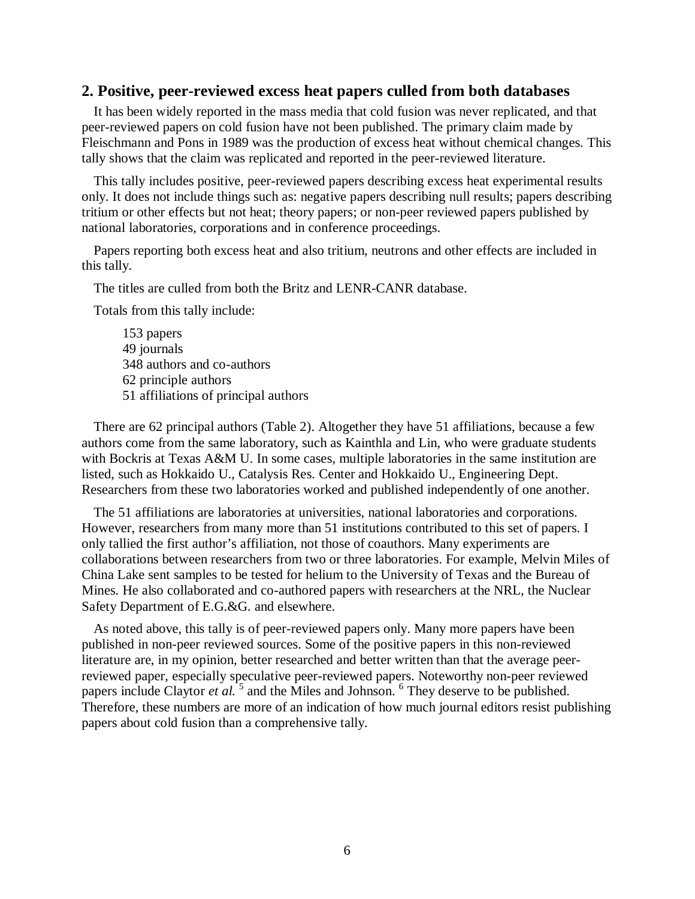#### **2. Positive, peer-reviewed excess heat papers culled from both databases**

It has been widely reported in the mass media that cold fusion was never replicated, and that peer-reviewed papers on cold fusion have not been published. The primary claim made by Fleischmann and Pons in 1989 was the production of excess heat without chemical changes. This tally shows that the claim was replicated and reported in the peer-reviewed literature.

This tally includes positive, peer-reviewed papers describing excess heat experimental results only. It does not include things such as: negative papers describing null results; papers describing tritium or other effects but not heat; theory papers; or non-peer reviewed papers published by national laboratories, corporations and in conference proceedings.

Papers reporting both excess heat and also tritium, neutrons and other effects are included in this tally.

The titles are culled from both the Britz and LENR-CANR database.

Totals from this tally include:

153 papers 49 journals 348 authors and co-authors 62 principle authors 51 affiliations of principal authors

There are 62 principal authors (Table 2). Altogether they have 51 affiliations, because a few authors come from the same laboratory, such as Kainthla and Lin, who were graduate students with Bockris at Texas A&M U. In some cases, multiple laboratories in the same institution are listed, such as Hokkaido U., Catalysis Res. Center and Hokkaido U., Engineering Dept. Researchers from these two laboratories worked and published independently of one another.

The 51 affiliations are laboratories at universities, national laboratories and corporations. However, researchers from many more than 51 institutions contributed to this set of papers. I only tallied the first author's affiliation, not those of coauthors. Many experiments are collaborations between researchers from two or three laboratories. For example, Melvin Miles of China Lake sent samples to be tested for helium to the University of Texas and the Bureau of Mines. He also collaborated and co-authored papers with researchers at the NRL, the Nuclear Safety Department of E.G.&G. and elsewhere.

As noted above, this tally is of peer-reviewed papers only. Many more papers have been published in non-peer reviewed sources. Some of the positive papers in this non-reviewed literature are, in my opinion, better researched and better written than that the average peerreviewed paper, especially speculative peer-reviewed papers. Noteworthy non-peer reviewed papers include Claytor *et al.*<sup>[5](#page-34-4)</sup> and the Miles and Johnson.<sup>[6](#page-34-5)</sup> They deserve to be published. Therefore, these numbers are more of an indication of how much journal editors resist publishing papers about cold fusion than a comprehensive tally.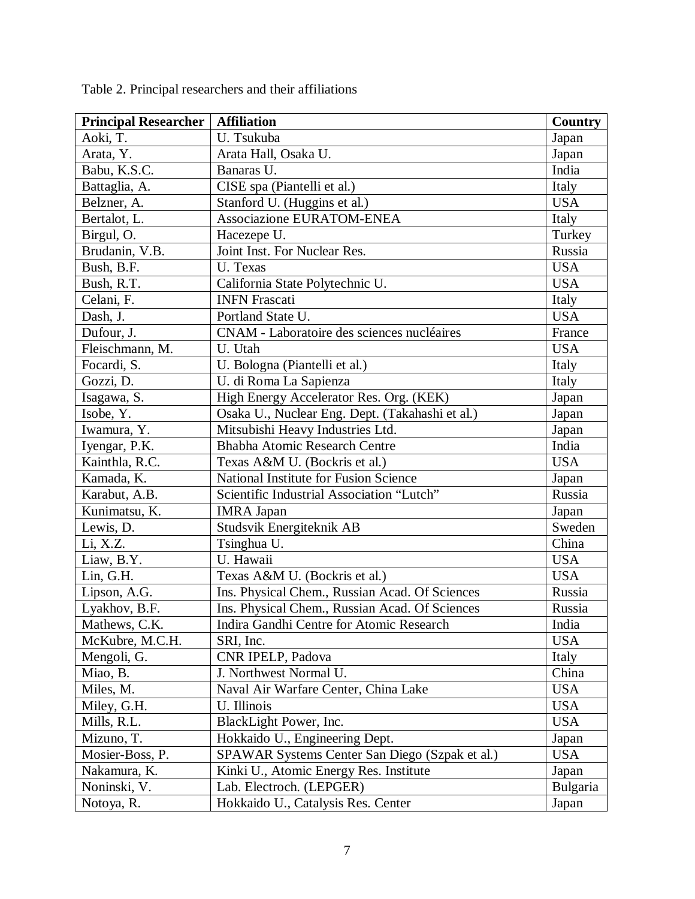| <b>Principal Researcher</b> | <b>Affiliation</b>                              | <b>Country</b> |
|-----------------------------|-------------------------------------------------|----------------|
| Aoki, T.                    | U. Tsukuba                                      | Japan          |
| Arata, Y.                   | Arata Hall, Osaka U.                            | Japan          |
| Babu, K.S.C.                | Banaras U.                                      | India          |
| Battaglia, A.               | CISE spa (Piantelli et al.)                     | Italy          |
| Belzner, A.                 | Stanford U. (Huggins et al.)                    | <b>USA</b>     |
| Bertalot, L.                | Associazione EURATOM-ENEA                       | Italy          |
| Birgul, O.                  | Hacezepe U.                                     | Turkey         |
| Brudanin, V.B.              | Joint Inst. For Nuclear Res.                    | Russia         |
| Bush, B.F.                  | U. Texas                                        | <b>USA</b>     |
| Bush, R.T.                  | California State Polytechnic U.                 | <b>USA</b>     |
| Celani, F.                  | <b>INFN Frascati</b>                            | Italy          |
| Dash, J.                    | Portland State U.                               | <b>USA</b>     |
| Dufour, J.                  | CNAM - Laboratoire des sciences nucléaires      | France         |
| Fleischmann, M.             | U. Utah                                         | <b>USA</b>     |
| Focardi, S.                 | U. Bologna (Piantelli et al.)                   | Italy          |
| Gozzi, D.                   | U. di Roma La Sapienza                          | Italy          |
| Isagawa, S.                 | High Energy Accelerator Res. Org. (KEK)         | Japan          |
| Isobe, Y.                   | Osaka U., Nuclear Eng. Dept. (Takahashi et al.) | Japan          |
| Iwamura, Y.                 | Mitsubishi Heavy Industries Ltd.                | Japan          |
| Iyengar, P.K.               | Bhabha Atomic Research Centre                   | India          |
| Kainthla, R.C.              | Texas A&M U. (Bockris et al.)                   | <b>USA</b>     |
| Kamada, K.                  | National Institute for Fusion Science           | Japan          |
| Karabut, A.B.               | Scientific Industrial Association "Lutch"       | Russia         |
| Kunimatsu, K.               | <b>IMRA Japan</b>                               | Japan          |
| Lewis, D.                   | Studsvik Energiteknik AB                        | Sweden         |
| Li, X.Z.                    | Tsinghua U.                                     | China          |
| Liaw, B.Y.                  | U. Hawaii                                       | <b>USA</b>     |
| Lin, G.H.                   | Texas A&M U. (Bockris et al.)                   | <b>USA</b>     |
| Lipson, A.G.                | Ins. Physical Chem., Russian Acad. Of Sciences  | Russia         |
| Lyakhov, B.F.               | Ins. Physical Chem., Russian Acad. Of Sciences  | Russia         |
| Mathews, C.K.               | Indira Gandhi Centre for Atomic Research        | India          |
| McKubre, M.C.H.             | SRI, Inc.                                       | <b>USA</b>     |
| Mengoli, G.                 | CNR IPELP, Padova                               | Italy          |
| Miao, B.                    | J. Northwest Normal U.                          | China          |
| Miles, M.                   | Naval Air Warfare Center, China Lake            | <b>USA</b>     |
| Miley, G.H.                 | U. Illinois                                     | <b>USA</b>     |
| Mills, R.L.                 | BlackLight Power, Inc.                          | <b>USA</b>     |
| Mizuno, T.                  | Hokkaido U., Engineering Dept.                  | Japan          |
| Mosier-Boss, P.             | SPAWAR Systems Center San Diego (Szpak et al.)  | <b>USA</b>     |
| Nakamura, K.                | Kinki U., Atomic Energy Res. Institute          | Japan          |
| Noninski, V.                | Lab. Electroch. (LEPGER)                        | Bulgaria       |
| Notoya, R.                  | Hokkaido U., Catalysis Res. Center              | Japan          |

Table 2. Principal researchers and their affiliations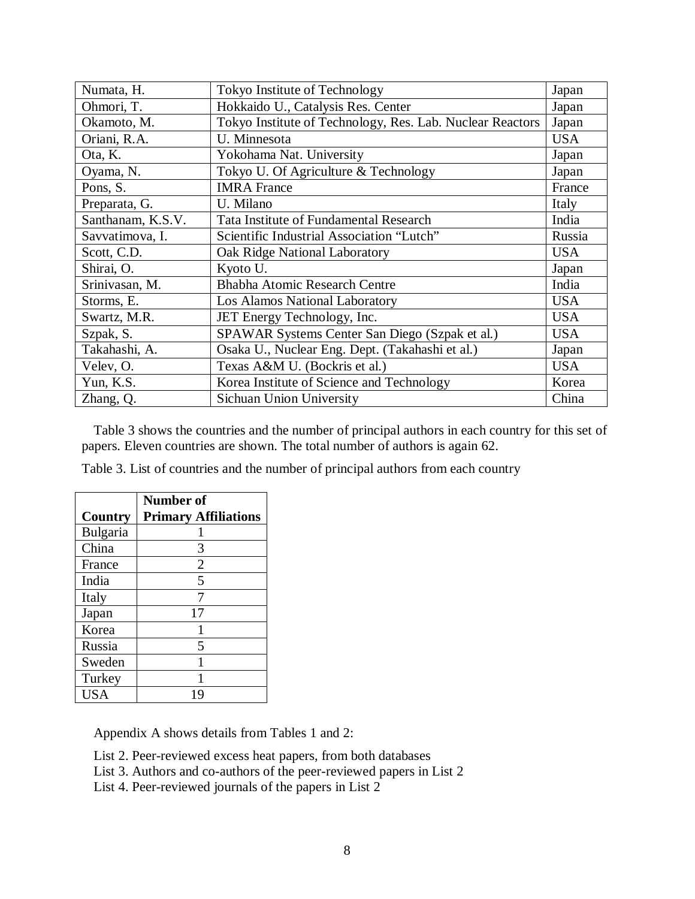| Numata, H.        | Tokyo Institute of Technology                             | Japan      |
|-------------------|-----------------------------------------------------------|------------|
| Ohmori, T.        | Hokkaido U., Catalysis Res. Center                        | Japan      |
| Okamoto, M.       | Tokyo Institute of Technology, Res. Lab. Nuclear Reactors | Japan      |
| Oriani, R.A.      | U. Minnesota                                              | <b>USA</b> |
| Ota, K.           | Yokohama Nat. University                                  | Japan      |
| Oyama, N.         | Tokyo U. Of Agriculture & Technology                      | Japan      |
| Pons, S.          | <b>IMRA</b> France                                        | France     |
| Preparata, G.     | U. Milano                                                 | Italy      |
| Santhanam, K.S.V. | Tata Institute of Fundamental Research                    | India      |
| Savvatimova, I.   | Scientific Industrial Association "Lutch"                 | Russia     |
| Scott, C.D.       | Oak Ridge National Laboratory                             | <b>USA</b> |
| Shirai, O.        | Kyoto U.                                                  | Japan      |
| Srinivasan, M.    | <b>Bhabha Atomic Research Centre</b>                      | India      |
| Storms, E.        | Los Alamos National Laboratory                            | <b>USA</b> |
| Swartz, M.R.      | JET Energy Technology, Inc.                               | <b>USA</b> |
| Szpak, S.         | SPAWAR Systems Center San Diego (Szpak et al.)            | <b>USA</b> |
| Takahashi, A.     | Osaka U., Nuclear Eng. Dept. (Takahashi et al.)           | Japan      |
| Velev, O.         | Texas A&M U. (Bockris et al.)                             | <b>USA</b> |
| Yun, K.S.         | Korea Institute of Science and Technology                 | Korea      |
| Zhang, Q.         | Sichuan Union University                                  | China      |

Table 3 shows the countries and the number of principal authors in each country for this set of papers. Eleven countries are shown. The total number of authors is again 62.

Table 3. List of countries and the number of principal authors from each country

|            | <b>Number of</b>            |
|------------|-----------------------------|
| Country    | <b>Primary Affiliations</b> |
| Bulgaria   |                             |
| China      | 3                           |
| France     | $\overline{2}$              |
| India      | 5                           |
| Italy      |                             |
| Japan      | 17                          |
| Korea      |                             |
| Russia     | 5                           |
| Sweden     |                             |
| Turkey     |                             |
| <b>USA</b> |                             |

Appendix A shows details from Tables 1 and 2:

- List 2. Peer-reviewed excess heat papers, from both databases
- List 3. Authors and co-authors of the peer-reviewed papers in List 2
- List 4. Peer-reviewed journals of the papers in List 2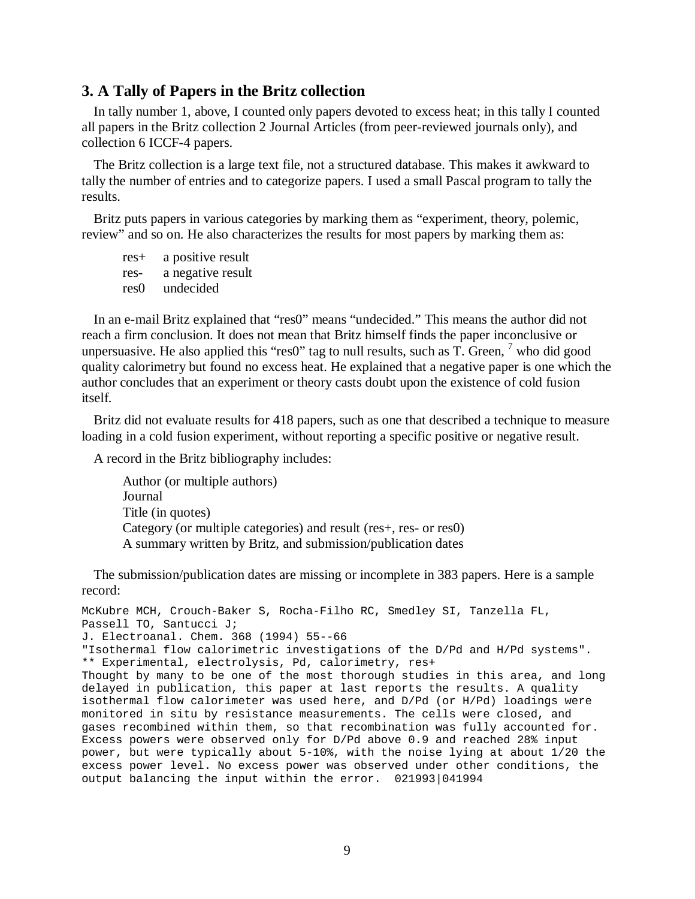#### **3. A Tally of Papers in the Britz collection**

In tally number 1, above, I counted only papers devoted to excess heat; in this tally I counted all papers in the Britz collection 2 Journal Articles (from peer-reviewed journals only), and collection 6 ICCF-4 papers.

The Britz collection is a large text file, not a structured database. This makes it awkward to tally the number of entries and to categorize papers. I used a small Pascal program to tally the results.

Britz puts papers in various categories by marking them as "experiment, theory, polemic, review" and so on. He also characterizes the results for most papers by marking them as:

res+ a positive result res- a negative result res0 undecided

In an e-mail Britz explained that "res0" means "undecided." This means the author did not reach a firm conclusion. It does not mean that Britz himself finds the paper inconclusive or unpersuasive. He also applied this "res0" tag to null results, such as  $T$ . Green,  $\frac{7}{7}$  $\frac{7}{7}$  $\frac{7}{7}$  who did good quality calorimetry but found no excess heat. He explained that a negative paper is one which the author concludes that an experiment or theory casts doubt upon the existence of cold fusion itself.

Britz did not evaluate results for 418 papers, such as one that described a technique to measure loading in a cold fusion experiment, without reporting a specific positive or negative result.

A record in the Britz bibliography includes:

Author (or multiple authors) Journal Title (in quotes) Category (or multiple categories) and result (res+, res- or res0) A summary written by Britz, and submission/publication dates

The submission/publication dates are missing or incomplete in 383 papers. Here is a sample record:

```
McKubre MCH, Crouch-Baker S, Rocha-Filho RC, Smedley SI, Tanzella FL,
Passell TO, Santucci J;
J. Electroanal. Chem. 368 (1994) 55--66
"Isothermal flow calorimetric investigations of the D/Pd and H/Pd systems".
** Experimental, electrolysis, Pd, calorimetry, res+
Thought by many to be one of the most thorough studies in this area, and long
delayed in publication, this paper at last reports the results. A quality
isothermal flow calorimeter was used here, and D/Pd (or H/Pd) loadings were
monitored in situ by resistance measurements. The cells were closed, and
gases recombined within them, so that recombination was fully accounted for.
Excess powers were observed only for D/Pd above 0.9 and reached 28% input
power, but were typically about 5-10%, with the noise lying at about 1/20 the
excess power level. No excess power was observed under other conditions, the
output balancing the input within the error. 021993|041994
```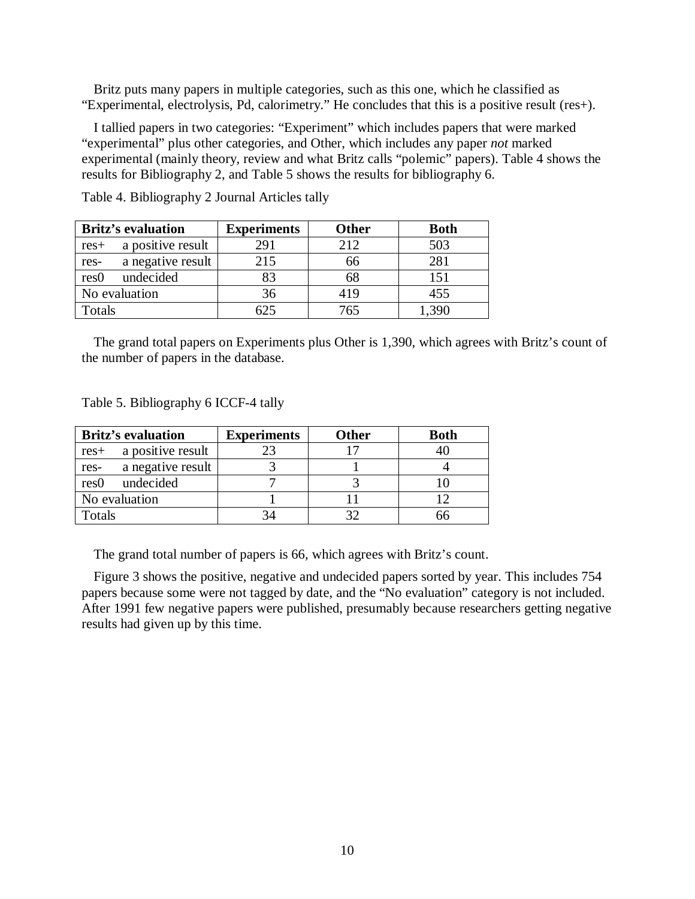Britz puts many papers in multiple categories, such as this one, which he classified as "Experimental, electrolysis, Pd, calorimetry." He concludes that this is a positive result (res+).

I tallied papers in two categories: "Experiment" which includes papers that were marked "experimental" plus other categories, and Other, which includes any paper *not* marked experimental (mainly theory, review and what Britz calls "polemic" papers). Table 4 shows the results for Bibliography 2, and Table 5 shows the results for bibliography 6.

| <b>Britz's evaluation</b> |                   | <b>Experiments</b><br><b>Other</b> |      | <b>Both</b> |  |
|---------------------------|-------------------|------------------------------------|------|-------------|--|
| $res+$                    | a positive result | 291                                | 2.12 | 503         |  |
| res-                      | a negative result | 215                                | 66   | 281         |  |
| res <sub>0</sub>          | undecided         | 83                                 | 68   | 151         |  |
|                           | No evaluation     | 36                                 | 419  | 455         |  |
| Totals                    |                   | 525                                | 765  |             |  |

Table 4. Bibliography 2 Journal Articles tally

The grand total papers on Experiments plus Other is 1,390, which agrees with Britz's count of the number of papers in the database.

Table 5. Bibliography 6 ICCF-4 tally

|                  | <b>Britz's evaluation</b> | <b>Experiments</b> | <b>Other</b> | <b>Both</b> |
|------------------|---------------------------|--------------------|--------------|-------------|
| $res+$           | a positive result         |                    | רו           |             |
| res-             | a negative result         |                    |              |             |
| res <sub>0</sub> | undecided                 |                    |              |             |
|                  | No evaluation             |                    |              |             |
| Totals           |                           |                    |              |             |

The grand total number of papers is 66, which agrees with Britz's count.

Figure 3 shows the positive, negative and undecided papers sorted by year. This includes 754 papers because some were not tagged by date, and the "No evaluation" category is not included. After 1991 few negative papers were published, presumably because researchers getting negative results had given up by this time.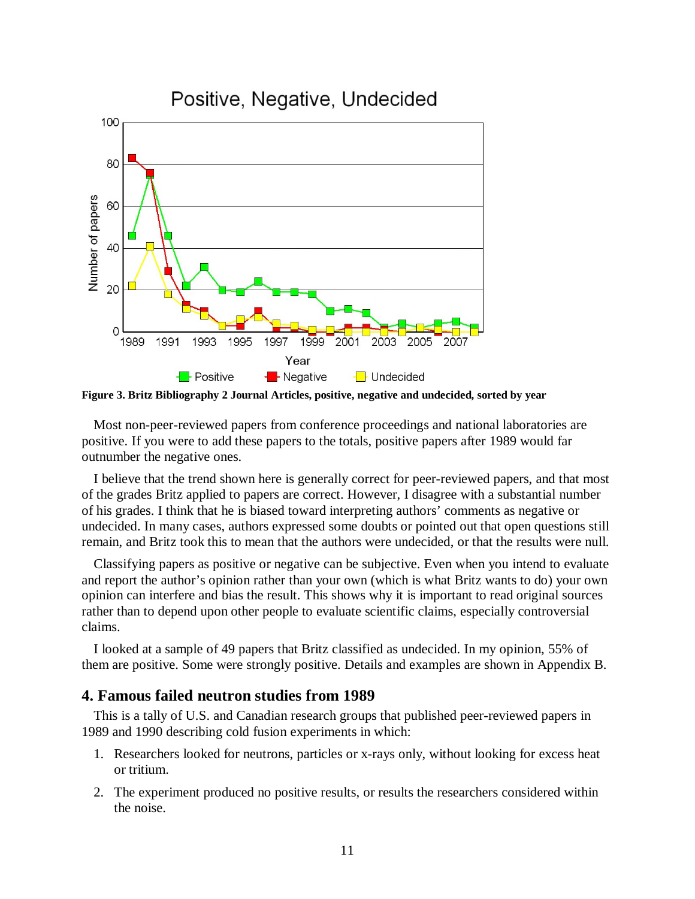

**Figure 3. Britz Bibliography 2 Journal Articles, positive, negative and undecided, sorted by year**

Most non-peer-reviewed papers from conference proceedings and national laboratories are positive. If you were to add these papers to the totals, positive papers after 1989 would far outnumber the negative ones.

I believe that the trend shown here is generally correct for peer-reviewed papers, and that most of the grades Britz applied to papers are correct. However, I disagree with a substantial number of his grades. I think that he is biased toward interpreting authors' comments as negative or undecided. In many cases, authors expressed some doubts or pointed out that open questions still remain, and Britz took this to mean that the authors were undecided, or that the results were null.

Classifying papers as positive or negative can be subjective. Even when you intend to evaluate and report the author's opinion rather than your own (which is what Britz wants to do) your own opinion can interfere and bias the result. This shows why it is important to read original sources rather than to depend upon other people to evaluate scientific claims, especially controversial claims.

I looked at a sample of 49 papers that Britz classified as undecided. In my opinion, 55% of them are positive. Some were strongly positive. Details and examples are shown in Appendix B.

#### **4. Famous failed neutron studies from 1989**

This is a tally of U.S. and Canadian research groups that published peer-reviewed papers in 1989 and 1990 describing cold fusion experiments in which:

- 1. Researchers looked for neutrons, particles or x-rays only, without looking for excess heat or tritium.
- 2. The experiment produced no positive results, or results the researchers considered within the noise.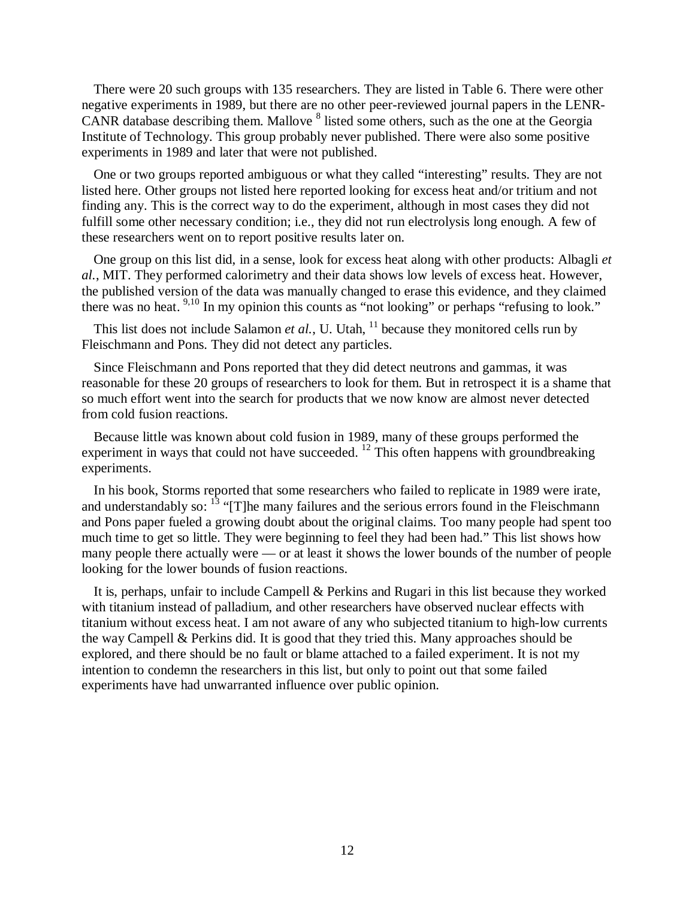There were 20 such groups with 135 researchers. They are listed in Table 6. There were other negative experiments in 1989, but there are no other peer-reviewed journal papers in the LENR-CANR database describing them. Mallove <sup>[8](#page-34-7)</sup> listed some others, such as the one at the Georgia Institute of Technology. This group probably never published. There were also some positive experiments in 1989 and later that were not published.

One or two groups reported ambiguous or what they called "interesting" results. They are not listed here. Other groups not listed here reported looking for excess heat and/or tritium and not finding any. This is the correct way to do the experiment, although in most cases they did not fulfill some other necessary condition; i.e., they did not run electrolysis long enough. A few of these researchers went on to report positive results later on.

One group on this list did, in a sense, look for excess heat along with other products: Albagli *et al.*, MIT. They performed calorimetry and their data shows low levels of excess heat. However, the published version of the data was manually changed to erase this evidence, and they claimed there was noheat. 9,[10](#page-34-9) In my opinion this counts as "not looking" or perhaps "refusing to look."

This list does not include Salamon *et al.*, U. Utah,  $11$  because they monitored cells run by Fleischmann and Pons. They did not detect any particles.

Since Fleischmann and Pons reported that they did detect neutrons and gammas, it was reasonable for these 20 groups of researchers to look for them. But in retrospect it is a shame that so much effort went into the search for products that we now know are almost never detected from cold fusion reactions.

Because little was known about cold fusion in 1989, many of these groups performed the experiment in ways that could not have succeeded.  $^{12}$  $^{12}$  $^{12}$  This often happens with groundbreaking experiments.

In his book, Storms reported that some researchers who failed to replicate in 1989 were irate, andunderstandably so:  $^{13}$  "[T]he many failures and the serious errors found in the Fleischmann and Pons paper fueled a growing doubt about the original claims. Too many people had spent too much time to get so little. They were beginning to feel they had been had." This list shows how many people there actually were — or at least it shows the lower bounds of the number of people looking for the lower bounds of fusion reactions.

It is, perhaps, unfair to include Campell & Perkins and Rugari in this list because they worked with titanium instead of palladium, and other researchers have observed nuclear effects with titanium without excess heat. I am not aware of any who subjected titanium to high-low currents the way Campell & Perkins did. It is good that they tried this. Many approaches should be explored, and there should be no fault or blame attached to a failed experiment. It is not my intention to condemn the researchers in this list, but only to point out that some failed experiments have had unwarranted influence over public opinion.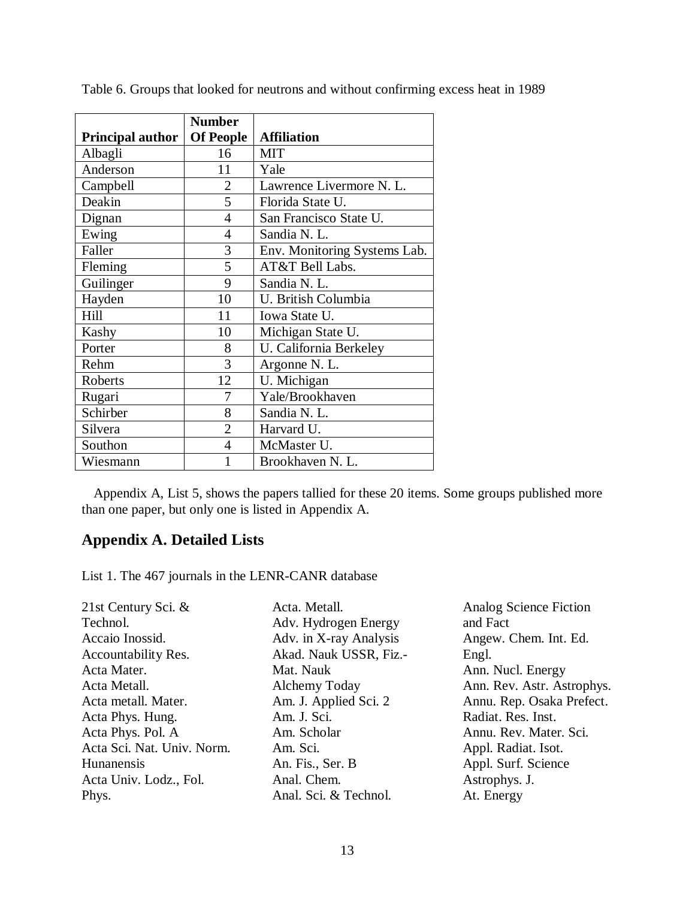|                         | <b>Number</b>    |                              |
|-------------------------|------------------|------------------------------|
| <b>Principal author</b> | <b>Of People</b> | <b>Affiliation</b>           |
| Albagli                 | 16               | <b>MIT</b>                   |
| Anderson                | 11               | Yale                         |
| Campbell                | 2                | Lawrence Livermore N. L.     |
| Deakin                  | 5                | Florida State U.             |
| Dignan                  | 4                | San Francisco State U.       |
| Ewing                   | 4                | Sandia N. L.                 |
| Faller                  | 3                | Env. Monitoring Systems Lab. |
| Fleming                 | 5                | AT&T Bell Labs.              |
| Guilinger               | 9                | Sandia N. L.                 |
| Hayden                  | 10               | U. British Columbia          |
| Hill                    | 11               | Iowa State U.                |
| Kashy                   | 10               | Michigan State U.            |
| Porter                  | 8                | U. California Berkeley       |
| Rehm                    | 3                | Argonne N. L.                |
| Roberts                 | 12               | U. Michigan                  |
| Rugari                  | 7                | Yale/Brookhaven              |
| Schirber                | 8                | Sandia N. L.                 |
| Silvera                 | $\overline{2}$   | Harvard U.                   |
| Southon                 | 4                | McMaster U.                  |
| Wiesmann                | 1                | Brookhaven N. L.             |

Table 6. Groups that looked for neutrons and without confirming excess heat in 1989

Appendix A, List 5, shows the papers tallied for these 20 items. Some groups published more than one paper, but only one is listed in Appendix A.

## **Appendix A. Detailed Lists**

List 1. The 467 journals in the LENR-CANR database

| Acta. Metall.          | Analog Science Fiction     |
|------------------------|----------------------------|
| Adv. Hydrogen Energy   | and Fact                   |
| Adv. in X-ray Analysis | Angew. Chem. Int. Ed.      |
| Akad. Nauk USSR, Fiz.- | Engl.                      |
| Mat. Nauk              | Ann. Nucl. Energy          |
| Alchemy Today          | Ann. Rev. Astr. Astrophys. |
| Am. J. Applied Sci. 2  | Annu. Rep. Osaka Prefect.  |
| Am. J. Sci.            | Radiat. Res. Inst.         |
| Am. Scholar            | Annu. Rev. Mater. Sci.     |
| Am. Sci.               | Appl. Radiat. Isot.        |
| An. Fis., Ser. B       | Appl. Surf. Science        |
| Anal. Chem.            | Astrophys. J.              |
| Anal. Sci. & Technol.  | At. Energy                 |
|                        |                            |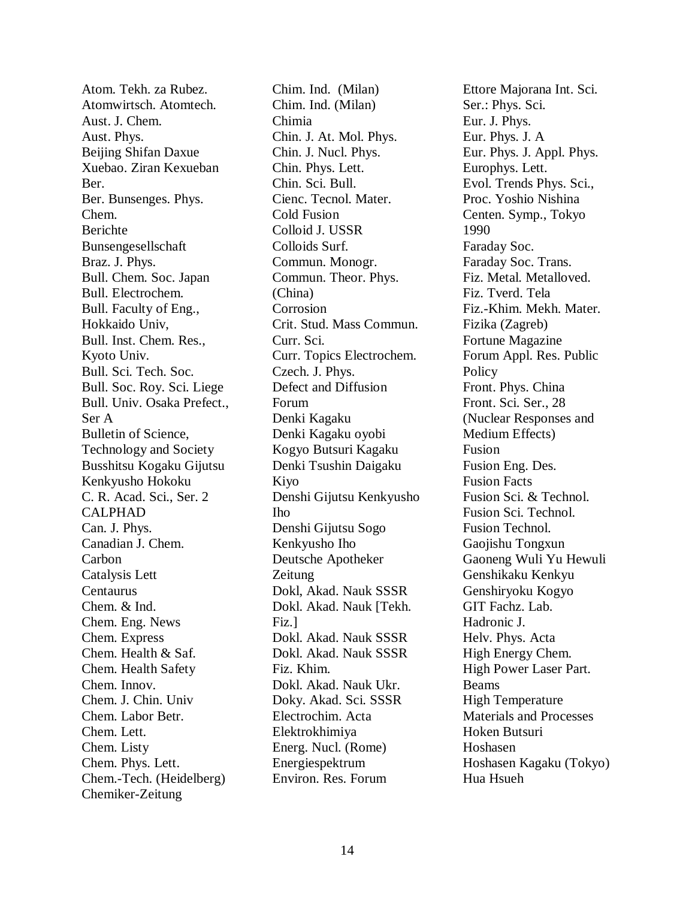Atom. Tekh. za Rubez. Atomwirtsch. Atomtech. Aust. J. Chem. Aust. Phys. Beijing Shifan Daxue Xuebao. Ziran Kexueban Ber. Ber. Bunsenges. Phys. Chem. Berichte Bunsengesellschaft Braz. J. Phys. Bull. Chem. Soc. Japan Bull. Electrochem. Bull. Faculty of Eng., Hokkaido Univ, Bull. Inst. Chem. Res., Kyoto Univ. Bull. Sci. Tech. Soc. Bull. Soc. Roy. Sci. Liege Bull. Univ. Osaka Prefect., Ser A Bulletin of Science, Technology and Society Busshitsu Kogaku Gijutsu Kenkyusho Hokoku C. R. Acad. Sci., Ser. 2 CALPHAD Can. J. Phys. Canadian J. Chem. Carbon Catalysis Lett Centaurus Chem. & Ind. Chem. Eng. News Chem. Express Chem. Health & Saf. Chem. Health Safety Chem. Innov. Chem. J. Chin. Univ Chem. Labor Betr. Chem. Lett. Chem. Listy Chem. Phys. Lett. Chem.-Tech. (Heidelberg) Chemiker-Zeitung

Chim. Ind. (Milan) Chim. Ind. (Milan) Chimia Chin. J. At. Mol. Phys. Chin. J. Nucl. Phys. Chin. Phys. Lett. Chin. Sci. Bull. Cienc. Tecnol. Mater. Cold Fusion Colloid J. USSR Colloids Surf. Commun. Monogr. Commun. Theor. Phys. (China) Corrosion Crit. Stud. Mass Commun. Curr. Sci. Curr. Topics Electrochem. Czech. J. Phys. Defect and Diffusion Forum Denki Kagaku Denki Kagaku oyobi Kogyo Butsuri Kagaku Denki Tsushin Daigaku Kiyo Denshi Gijutsu Kenkyusho Iho Denshi Gijutsu Sogo Kenkyusho Iho Deutsche Apotheker Zeitung Dokl, Akad. Nauk SSSR Dokl. Akad. Nauk [Tekh. Fiz.] Dokl. Akad. Nauk SSSR Dokl. Akad. Nauk SSSR Fiz. Khim. Dokl. Akad. Nauk Ukr. Doky. Akad. Sci. SSSR Electrochim. Acta Elektrokhimiya Energ. Nucl. (Rome) Energiespektrum Environ. Res. Forum

Ettore Majorana Int. Sci. Ser.: Phys. Sci. Eur. J. Phys. Eur. Phys. J. A Eur. Phys. J. Appl. Phys. Europhys. Lett. Evol. Trends Phys. Sci., Proc. Yoshio Nishina Centen. Symp., Tokyo 1990 Faraday Soc. Faraday Soc. Trans. Fiz. Metal. Metalloved. Fiz. Tverd. Tela Fiz.-Khim. Mekh. Mater. Fizika (Zagreb) Fortune Magazine Forum Appl. Res. Public **Policy** Front. Phys. China Front. Sci. Ser., 28 (Nuclear Responses and Medium Effects) Fusion Fusion Eng. Des. Fusion Facts Fusion Sci. & Technol. Fusion Sci. Technol. Fusion Technol. Gaojishu Tongxun Gaoneng Wuli Yu Hewuli Genshikaku Kenkyu Genshiryoku Kogyo GIT Fachz. Lab. Hadronic J. Helv. Phys. Acta High Energy Chem. High Power Laser Part. Beams High Temperature Materials and Processes Hoken Butsuri Hoshasen Hoshasen Kagaku (Tokyo) Hua Hsueh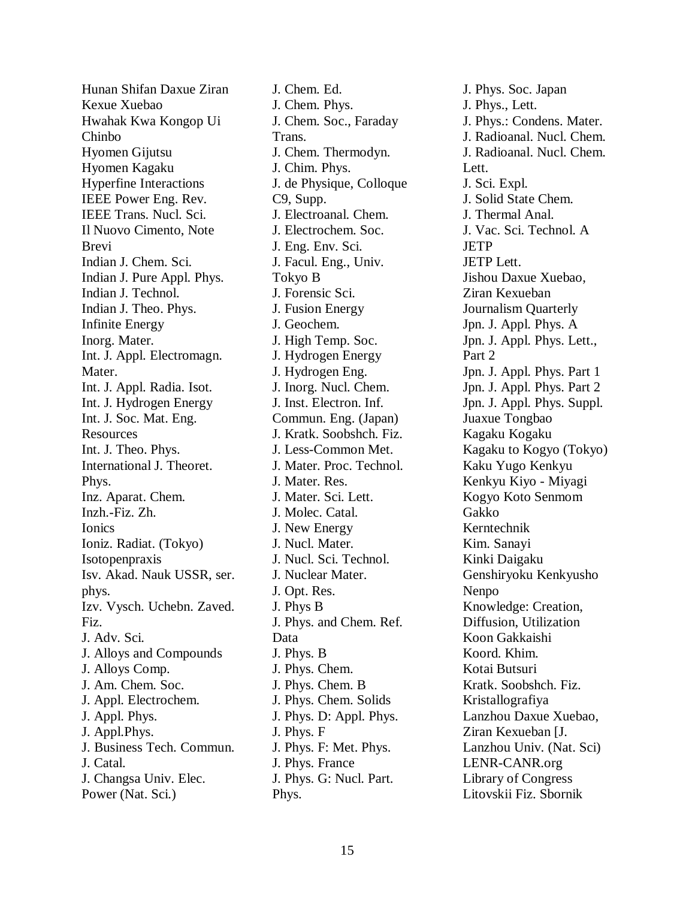Hunan Shifan Daxue Ziran Kexue Xuebao Hwahak Kwa Kongop Ui Chinbo Hyomen Gijutsu Hyomen Kagaku Hyperfine Interactions IEEE Power Eng. Rev. IEEE Trans. Nucl. Sci. Il Nuovo Cimento, Note Brevi Indian J. Chem. Sci. Indian J. Pure Appl. Phys. Indian J. Technol. Indian J. Theo. Phys. Infinite Energy Inorg. Mater. Int. J. Appl. Electromagn. Mater. Int. J. Appl. Radia. Isot. Int. J. Hydrogen Energy Int. J. Soc. Mat. Eng. Resources Int. J. Theo. Phys. International J. Theoret. Phys. Inz. Aparat. Chem. Inzh.-Fiz. Zh. Ionics Ioniz. Radiat. (Tokyo) Isotopenpraxis Isv. Akad. Nauk USSR, ser. phys. Izv. Vysch. Uchebn. Zaved. Fiz. J. Adv. Sci. J. Alloys and Compounds J. Alloys Comp. J. Am. Chem. Soc. J. Appl. Electrochem. J. Appl. Phys. J. Appl.Phys. J. Business Tech. Commun. J. Catal. J. Changsa Univ. Elec. Power (Nat. Sci.)

J. Chem. Ed. J. Chem. Phys. J. Chem. Soc., Faraday Trans. J. Chem. Thermodyn. J. Chim. Phys. J. de Physique, Colloque C9, Supp. J. Electroanal. Chem. J. Electrochem. Soc. J. Eng. Env. Sci. J. Facul. Eng., Univ. Tokyo B J. Forensic Sci. J. Fusion Energy J. Geochem. J. High Temp. Soc. J. Hydrogen Energy J. Hydrogen Eng. J. Inorg. Nucl. Chem. J. Inst. Electron. Inf. Commun. Eng. (Japan) J. Kratk. Soobshch. Fiz. J. Less-Common Met. J. Mater. Proc. Technol. J. Mater. Res. J. Mater. Sci. Lett. J. Molec. Catal. J. New Energy J. Nucl. Mater. J. Nucl. Sci. Technol. J. Nuclear Mater. J. Opt. Res. J. Phys B J. Phys. and Chem. Ref. Data J. Phys. B J. Phys. Chem. J. Phys. Chem. B J. Phys. Chem. Solids J. Phys. D: Appl. Phys. J. Phys. F J. Phys. F: Met. Phys. J. Phys. France J. Phys. G: Nucl. Part. Phys.

J. Phys. Soc. Japan J. Phys., Lett. J. Phys.: Condens. Mater. J. Radioanal. Nucl. Chem. J. Radioanal. Nucl. Chem. Lett. J. Sci. Expl. J. Solid State Chem. J. Thermal Anal. J. Vac. Sci. Technol. A **JETP** JETP Lett. Jishou Daxue Xuebao, Ziran Kexueban Journalism Quarterly Jpn. J. Appl. Phys. A Jpn. J. Appl. Phys. Lett., Part 2 Jpn. J. Appl. Phys. Part 1 Jpn. J. Appl. Phys. Part 2 Jpn. J. Appl. Phys. Suppl. Juaxue Tongbao Kagaku Kogaku Kagaku to Kogyo (Tokyo) Kaku Yugo Kenkyu Kenkyu Kiyo - Miyagi Kogyo Koto Senmom Gakko Kerntechnik Kim. Sanayi Kinki Daigaku Genshiryoku Kenkyusho Nenpo Knowledge: Creation, Diffusion, Utilization Koon Gakkaishi Koord. Khim. Kotai Butsuri Kratk. Soobshch. Fiz. Kristallografiya Lanzhou Daxue Xuebao, Ziran Kexueban [J. Lanzhou Univ. (Nat. Sci) LENR-CANR.org Library of Congress Litovskii Fiz. Sbornik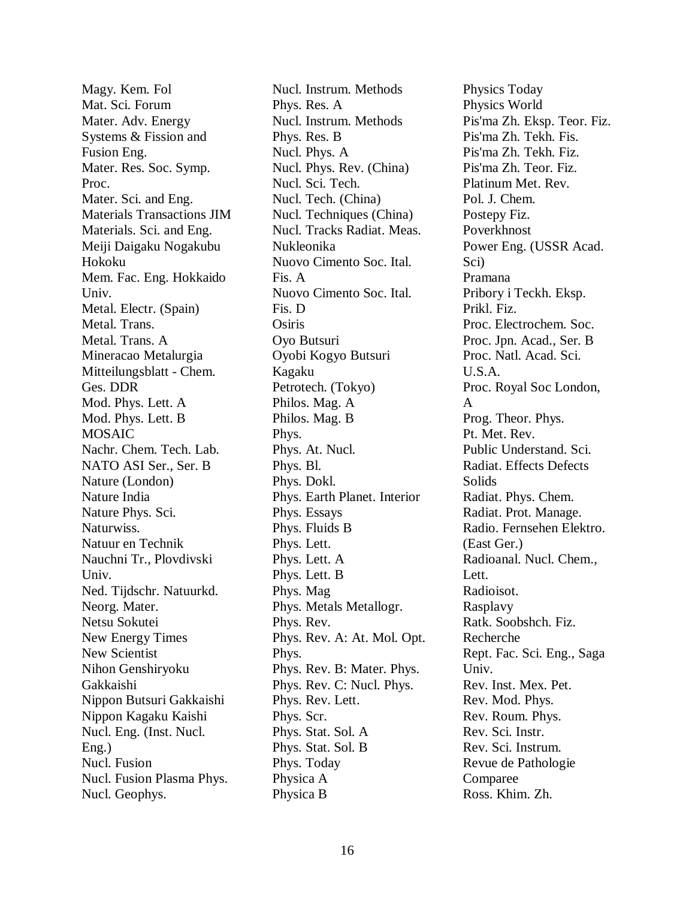Magy. Kem. Fol Mat. Sci. Forum Mater. Adv. Energy Systems & Fission and Fusion Eng. Mater. Res. Soc. Symp. Proc. Mater. Sci. and Eng. Materials Transactions JIM Materials. Sci. and Eng. Meiji Daigaku Nogakubu Hokoku Mem. Fac. Eng. Hokkaido Univ. Metal. Electr. (Spain) Metal. Trans. Metal. Trans. A Mineracao Metalurgia Mitteilungsblatt - Chem. Ges. DDR Mod. Phys. Lett. A Mod. Phys. Lett. B **MOSAIC** Nachr. Chem. Tech. Lab. NATO ASI Ser., Ser. B Nature (London) Nature India Nature Phys. Sci. Naturwiss. Natuur en Technik Nauchni Tr., Plovdivski Univ. Ned. Tijdschr. Natuurkd. Neorg. Mater. Netsu Sokutei New Energy Times New Scientist Nihon Genshiryoku Gakkaishi Nippon Butsuri Gakkaishi Nippon Kagaku Kaishi Nucl. Eng. (Inst. Nucl. Eng.) Nucl. Fusion Nucl. Fusion Plasma Phys. Nucl. Geophys.

Nucl. Instrum. Methods Phys. Res. A Nucl. Instrum. Methods Phys. Res. B Nucl. Phys. A Nucl. Phys. Rev. (China) Nucl. Sci. Tech. Nucl. Tech. (China) Nucl. Techniques (China) Nucl. Tracks Radiat. Meas. Nukleonika Nuovo Cimento Soc. Ital. Fis. A Nuovo Cimento Soc. Ital. Fis. D **Osiris** Oyo Butsuri Oyobi Kogyo Butsuri Kagaku Petrotech. (Tokyo) Philos. Mag. A Philos. Mag. B Phys. Phys. At. Nucl. Phys. Bl. Phys. Dokl. Phys. Earth Planet. Interior Phys. Essays Phys. Fluids B Phys. Lett. Phys. Lett. A Phys. Lett. B Phys. Mag Phys. Metals Metallogr. Phys. Rev. Phys. Rev. A: At. Mol. Opt. Phys. Phys. Rev. B: Mater. Phys. Phys. Rev. C: Nucl. Phys. Phys. Rev. Lett. Phys. Scr. Phys. Stat. Sol. A Phys. Stat. Sol. B Phys. Today Physica A Physica B

Physics Today Physics World Pis'ma Zh. Eksp. Teor. Fiz. Pis'ma Zh. Tekh. Fis. Pis'ma Zh. Tekh. Fiz. Pis'ma Zh. Teor. Fiz. Platinum Met. Rev. Pol. J. Chem. Postepy Fiz. Poverkhnost Power Eng. (USSR Acad. Sci) Pramana Pribory i Teckh. Eksp. Prikl. Fiz. Proc. Electrochem. Soc. Proc. Jpn. Acad., Ser. B Proc. Natl. Acad. Sci. U.S.A. Proc. Royal Soc London, A Prog. Theor. Phys. Pt. Met. Rev. Public Understand. Sci. Radiat. Effects Defects Solids Radiat. Phys. Chem. Radiat. Prot. Manage. Radio. Fernsehen Elektro. (East Ger.) Radioanal. Nucl. Chem., Lett. Radioisot. Rasplavy Ratk. Soobshch. Fiz. Recherche Rept. Fac. Sci. Eng., Saga Univ. Rev. Inst. Mex. Pet. Rev. Mod. Phys. Rev. Roum. Phys. Rev. Sci. Instr. Rev. Sci. Instrum. Revue de Pathologie Comparee Ross. Khim. Zh.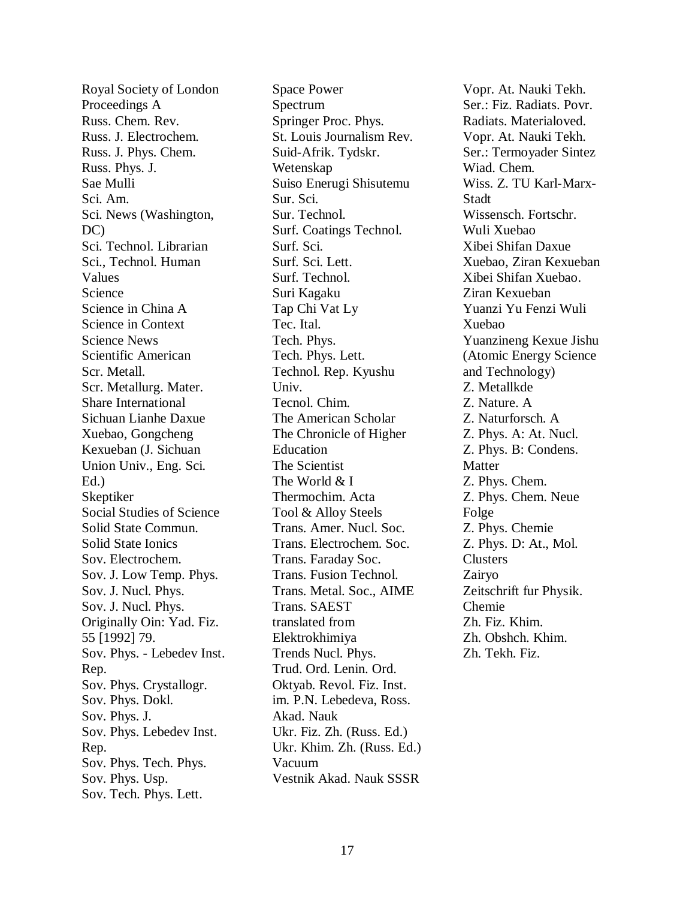Royal Society of London Proceedings A Russ. Chem. Rev. Russ. J. Electrochem. Russ. J. Phys. Chem. Russ. Phys. J. Sae Mulli Sci. Am. Sci. News (Washington, DC) Sci. Technol. Librarian Sci., Technol. Human Values Science Science in China A Science in Context Science News Scientific American Scr. Metall. Scr. Metallurg. Mater. Share International Sichuan Lianhe Daxue Xuebao, Gongcheng Kexueban (J. Sichuan Union Univ., Eng. Sci. Ed.) Skeptiker Social Studies of Science Solid State Commun. Solid State Ionics Sov. Electrochem. Sov. J. Low Temp. Phys. Sov. J. Nucl. Phys. Sov. J. Nucl. Phys. Originally Oin: Yad. Fiz. 55 [1992] 79. Sov. Phys. - Lebedev Inst. Rep. Sov. Phys. Crystallogr. Sov. Phys. Dokl. Sov. Phys. J. Sov. Phys. Lebedev Inst. Rep. Sov. Phys. Tech. Phys. Sov. Phys. Usp. Sov. Tech. Phys. Lett.

Space Power Spectrum Springer Proc. Phys. St. Louis Journalism Rev. Suid-Afrik. Tydskr. Wetenskap Suiso Enerugi Shisutemu Sur. Sci. Sur. Technol. Surf. Coatings Technol. Surf. Sci. Surf. Sci. Lett. Surf. Technol. Suri Kagaku Tap Chi Vat Ly Tec. Ital. Tech. Phys. Tech. Phys. Lett. Technol. Rep. Kyushu Univ. Tecnol. Chim. The American Scholar The Chronicle of Higher Education The Scientist The World & I Thermochim. Acta Tool & Alloy Steels Trans. Amer. Nucl. Soc. Trans. Electrochem. Soc. Trans. Faraday Soc. Trans. Fusion Technol. Trans. Metal. Soc., AIME Trans. SAEST translated from Elektrokhimiya Trends Nucl. Phys. Trud. Ord. Lenin. Ord. Oktyab. Revol. Fiz. Inst. im. P.N. Lebedeva, Ross. Akad. Nauk Ukr. Fiz. Zh. (Russ. Ed.) Ukr. Khim. Zh. (Russ. Ed.) Vacuum Vestnik Akad. Nauk SSSR

Vopr. At. Nauki Tekh. Ser.: Fiz. Radiats. Povr. Radiats. Materialoved. Vopr. At. Nauki Tekh. Ser.: Termoyader Sintez Wiad. Chem. Wiss. Z. TU Karl-Marx-Stadt Wissensch. Fortschr. Wuli Xuebao Xibei Shifan Daxue Xuebao, Ziran Kexueban Xibei Shifan Xuebao. Ziran Kexueban Yuanzi Yu Fenzi Wuli Xuebao Yuanzineng Kexue Jishu (Atomic Energy Science and Technology) Z. Metallkde Z. Nature. A Z. Naturforsch. A Z. Phys. A: At. Nucl. Z. Phys. B: Condens. **Matter** Z. Phys. Chem. Z. Phys. Chem. Neue Folge Z. Phys. Chemie Z. Phys. D: At., Mol. Clusters Zairyo Zeitschrift fur Physik. Chemie Zh. Fiz. Khim. Zh. Obshch. Khim. Zh. Tekh. Fiz.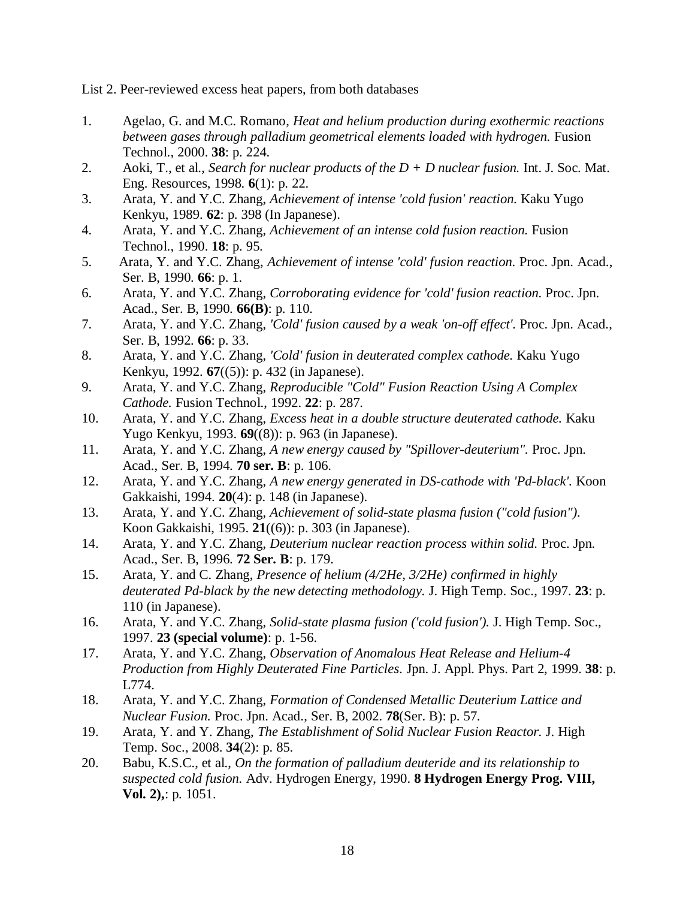List 2. Peer-reviewed excess heat papers, from both databases

- 1. Agelao, G. and M.C. Romano, *Heat and helium production during exothermic reactions between gases through palladium geometrical elements loaded with hydrogen.* Fusion Technol., 2000. **38**: p. 224.
- 2. Aoki, T., et al., *Search for nuclear products of the D + D nuclear fusion.* Int. J. Soc. Mat. Eng. Resources, 1998. **6**(1): p. 22.
- 3. Arata, Y. and Y.C. Zhang, *Achievement of intense 'cold fusion' reaction.* Kaku Yugo Kenkyu, 1989. **62**: p. 398 (In Japanese).
- 4. Arata, Y. and Y.C. Zhang, *Achievement of an intense cold fusion reaction.* Fusion Technol., 1990. **18**: p. 95.
- 5. Arata, Y. and Y.C. Zhang, *Achievement of intense 'cold' fusion reaction.* Proc. Jpn. Acad., Ser. B, 1990. **66**: p. 1.
- 6. Arata, Y. and Y.C. Zhang, *Corroborating evidence for 'cold' fusion reaction.* Proc. Jpn. Acad., Ser. B, 1990. **66(B)**: p. 110.
- 7. Arata, Y. and Y.C. Zhang, *'Cold' fusion caused by a weak 'on-off effect'.* Proc. Jpn. Acad., Ser. B, 1992. **66**: p. 33.
- 8. Arata, Y. and Y.C. Zhang, *'Cold' fusion in deuterated complex cathode.* Kaku Yugo Kenkyu, 1992. **67**((5)): p. 432 (in Japanese).
- 9. Arata, Y. and Y.C. Zhang, *Reproducible "Cold" Fusion Reaction Using A Complex Cathode.* Fusion Technol., 1992. **22**: p. 287.
- 10. Arata, Y. and Y.C. Zhang, *Excess heat in a double structure deuterated cathode.* Kaku Yugo Kenkyu, 1993. **69**((8)): p. 963 (in Japanese).
- 11. Arata, Y. and Y.C. Zhang, *A new energy caused by "Spillover-deuterium".* Proc. Jpn. Acad., Ser. B, 1994. **70 ser. B**: p. 106.
- 12. Arata, Y. and Y.C. Zhang, *A new energy generated in DS-cathode with 'Pd-black'.* Koon Gakkaishi, 1994. **20**(4): p. 148 (in Japanese).
- 13. Arata, Y. and Y.C. Zhang, *Achievement of solid-state plasma fusion ("cold fusion").* Koon Gakkaishi, 1995. **21**((6)): p. 303 (in Japanese).
- 14. Arata, Y. and Y.C. Zhang, *Deuterium nuclear reaction process within solid.* Proc. Jpn. Acad., Ser. B, 1996. **72 Ser. B**: p. 179.
- 15. Arata, Y. and C. Zhang, *Presence of helium (4/2He, 3/2He) confirmed in highly deuterated Pd-black by the new detecting methodology.* J. High Temp. Soc., 1997. **23**: p. 110 (in Japanese).
- 16. Arata, Y. and Y.C. Zhang, *Solid-state plasma fusion ('cold fusion').* J. High Temp. Soc., 1997. **23 (special volume)**: p. 1-56.
- 17. Arata, Y. and Y.C. Zhang, *Observation of Anomalous Heat Release and Helium-4 Production from Highly Deuterated Fine Particles.* Jpn. J. Appl. Phys. Part 2, 1999. **38**: p. L774.
- 18. Arata, Y. and Y.C. Zhang, *Formation of Condensed Metallic Deuterium Lattice and Nuclear Fusion.* Proc. Jpn. Acad., Ser. B, 2002. **78**(Ser. B): p. 57.
- 19. Arata, Y. and Y. Zhang, *The Establishment of Solid Nuclear Fusion Reactor.* J. High Temp. Soc., 2008. **34**(2): p. 85.
- 20. Babu, K.S.C., et al., *On the formation of palladium deuteride and its relationship to suspected cold fusion.* Adv. Hydrogen Energy, 1990. **8 Hydrogen Energy Prog. VIII, Vol. 2),**: p. 1051.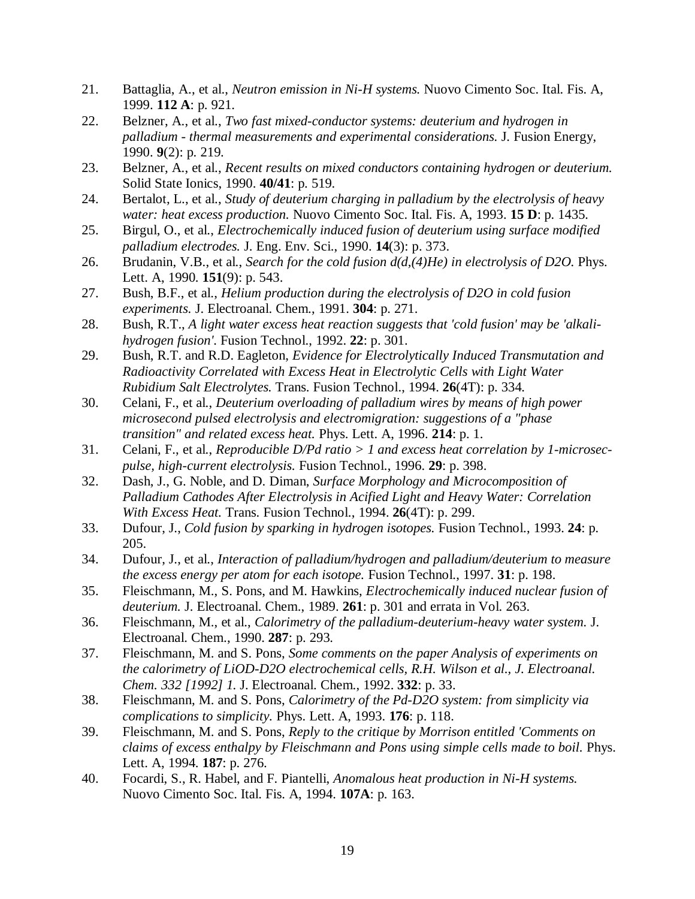- 21. Battaglia, A., et al., *Neutron emission in Ni-H systems.* Nuovo Cimento Soc. Ital. Fis. A, 1999. **112 A**: p. 921.
- 22. Belzner, A., et al., *Two fast mixed-conductor systems: deuterium and hydrogen in palladium - thermal measurements and experimental considerations.* J. Fusion Energy, 1990. **9**(2): p. 219.
- 23. Belzner, A., et al., *Recent results on mixed conductors containing hydrogen or deuterium.* Solid State Ionics, 1990. **40/41**: p. 519.
- 24. Bertalot, L., et al., *Study of deuterium charging in palladium by the electrolysis of heavy water: heat excess production.* Nuovo Cimento Soc. Ital. Fis. A, 1993. **15 D**: p. 1435.
- 25. Birgul, O., et al., *Electrochemically induced fusion of deuterium using surface modified palladium electrodes.* J. Eng. Env. Sci., 1990. **14**(3): p. 373.
- 26. Brudanin, V.B., et al., *Search for the cold fusion d(d,(4)He) in electrolysis of D2O.* Phys. Lett. A, 1990. **151**(9): p. 543.
- 27. Bush, B.F., et al., *Helium production during the electrolysis of D2O in cold fusion experiments.* J. Electroanal. Chem., 1991. **304**: p. 271.
- 28. Bush, R.T., *A light water excess heat reaction suggests that 'cold fusion' may be 'alkalihydrogen fusion'.* Fusion Technol., 1992. **22**: p. 301.
- 29. Bush, R.T. and R.D. Eagleton, *Evidence for Electrolytically Induced Transmutation and Radioactivity Correlated with Excess Heat in Electrolytic Cells with Light Water Rubidium Salt Electrolytes.* Trans. Fusion Technol., 1994. **26**(4T): p. 334.
- 30. Celani, F., et al., *Deuterium overloading of palladium wires by means of high power microsecond pulsed electrolysis and electromigration: suggestions of a "phase transition" and related excess heat.* Phys. Lett. A, 1996. **214**: p. 1.
- 31. Celani, F., et al., *Reproducible D/Pd ratio > 1 and excess heat correlation by 1-microsecpulse, high-current electrolysis.* Fusion Technol., 1996. **29**: p. 398.
- 32. Dash, J., G. Noble, and D. Diman, *Surface Morphology and Microcomposition of Palladium Cathodes After Electrolysis in Acified Light and Heavy Water: Correlation With Excess Heat.* Trans. Fusion Technol., 1994. **26**(4T): p. 299.
- 33. Dufour, J., *Cold fusion by sparking in hydrogen isotopes.* Fusion Technol., 1993. **24**: p. 205.
- 34. Dufour, J., et al., *Interaction of palladium/hydrogen and palladium/deuterium to measure the excess energy per atom for each isotope.* Fusion Technol., 1997. **31**: p. 198.
- 35. Fleischmann, M., S. Pons, and M. Hawkins, *Electrochemically induced nuclear fusion of deuterium.* J. Electroanal. Chem., 1989. **261**: p. 301 and errata in Vol. 263.
- 36. Fleischmann, M., et al., *Calorimetry of the palladium-deuterium-heavy water system.* J. Electroanal. Chem., 1990. **287**: p. 293.
- 37. Fleischmann, M. and S. Pons, *Some comments on the paper Analysis of experiments on the calorimetry of LiOD-D2O electrochemical cells, R.H. Wilson et al., J. Electroanal. Chem. 332 [1992] 1.* J. Electroanal. Chem., 1992. **332**: p. 33.
- 38. Fleischmann, M. and S. Pons, *Calorimetry of the Pd-D2O system: from simplicity via complications to simplicity.* Phys. Lett. A, 1993. **176**: p. 118.
- 39. Fleischmann, M. and S. Pons, *Reply to the critique by Morrison entitled 'Comments on claims of excess enthalpy by Fleischmann and Pons using simple cells made to boil.* Phys. Lett. A, 1994. **187**: p. 276.
- 40. Focardi, S., R. Habel, and F. Piantelli, *Anomalous heat production in Ni-H systems.* Nuovo Cimento Soc. Ital. Fis. A, 1994. **107A**: p. 163.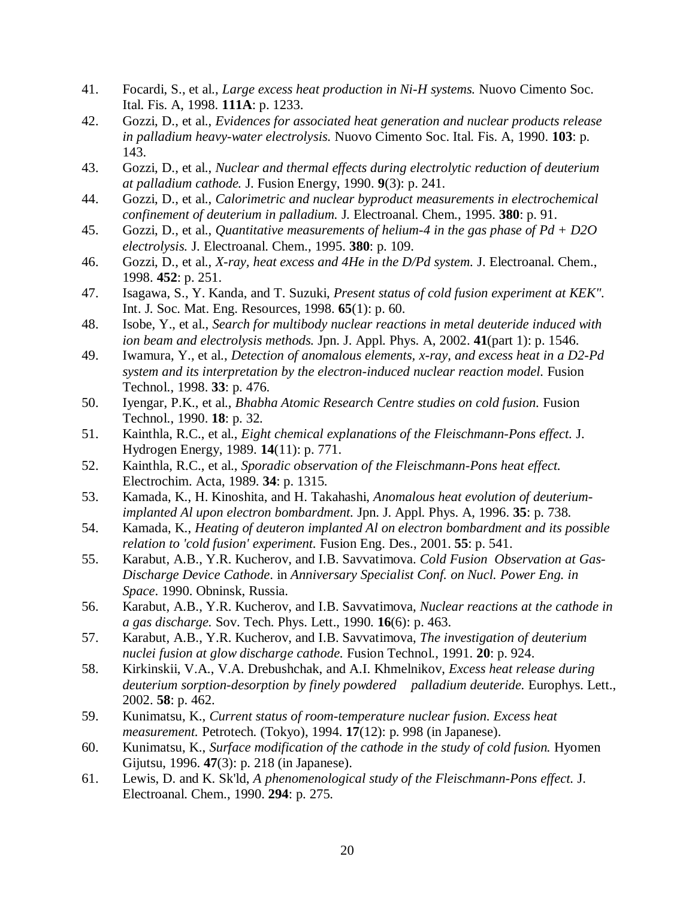- 41. Focardi, S., et al., *Large excess heat production in Ni-H systems.* Nuovo Cimento Soc. Ital. Fis. A, 1998. **111A**: p. 1233.
- 42. Gozzi, D., et al., *Evidences for associated heat generation and nuclear products release in palladium heavy-water electrolysis.* Nuovo Cimento Soc. Ital. Fis. A, 1990. **103**: p. 143.
- 43. Gozzi, D., et al., *Nuclear and thermal effects during electrolytic reduction of deuterium at palladium cathode.* J. Fusion Energy, 1990. **9**(3): p. 241.
- 44. Gozzi, D., et al., *Calorimetric and nuclear byproduct measurements in electrochemical confinement of deuterium in palladium.* J. Electroanal. Chem., 1995. **380**: p. 91.
- 45. Gozzi, D., et al., *Quantitative measurements of helium-4 in the gas phase of Pd + D2O electrolysis.* J. Electroanal. Chem., 1995. **380**: p. 109.
- 46. Gozzi, D., et al., *X-ray, heat excess and 4He in the D/Pd system.* J. Electroanal. Chem., 1998. **452**: p. 251.
- 47. Isagawa, S., Y. Kanda, and T. Suzuki, *Present status of cold fusion experiment at KEK".* Int. J. Soc. Mat. Eng. Resources, 1998. **65**(1): p. 60.
- 48. Isobe, Y., et al., *Search for multibody nuclear reactions in metal deuteride induced with ion beam and electrolysis methods.* Jpn. J. Appl. Phys. A, 2002. **41**(part 1): p. 1546.
- 49. Iwamura, Y., et al., *Detection of anomalous elements, x-ray, and excess heat in a D2-Pd system and its interpretation by the electron-induced nuclear reaction model.* Fusion Technol., 1998. **33**: p. 476.
- 50. Iyengar, P.K., et al., *Bhabha Atomic Research Centre studies on cold fusion.* Fusion Technol., 1990. **18**: p. 32.
- 51. Kainthla, R.C., et al., *Eight chemical explanations of the Fleischmann-Pons effect.* J. Hydrogen Energy, 1989. **14**(11): p. 771.
- 52. Kainthla, R.C., et al., *Sporadic observation of the Fleischmann-Pons heat effect.* Electrochim. Acta, 1989. **34**: p. 1315.
- 53. Kamada, K., H. Kinoshita, and H. Takahashi, *Anomalous heat evolution of deuteriumimplanted Al upon electron bombardment.* Jpn. J. Appl. Phys. A, 1996. **35**: p. 738.
- 54. Kamada, K., *Heating of deuteron implanted Al on electron bombardment and its possible relation to 'cold fusion' experiment.* Fusion Eng. Des., 2001. **55**: p. 541.
- 55. Karabut, A.B., Y.R. Kucherov, and I.B. Savvatimova. *Cold Fusion Observation at Gas-Discharge Device Cathode*. in *Anniversary Specialist Conf. on Nucl. Power Eng. in Space*. 1990. Obninsk, Russia.
- 56. Karabut, A.B., Y.R. Kucherov, and I.B. Savvatimova, *Nuclear reactions at the cathode in a gas discharge.* Sov. Tech. Phys. Lett., 1990. **16**(6): p. 463.
- 57. Karabut, A.B., Y.R. Kucherov, and I.B. Savvatimova, *The investigation of deuterium nuclei fusion at glow discharge cathode.* Fusion Technol., 1991. **20**: p. 924.
- 58. Kirkinskii, V.A., V.A. Drebushchak, and A.I. Khmelnikov, *Excess heat release during deuterium sorption-desorption by finely powdered palladium deuteride.* Europhys. Lett., 2002. **58**: p. 462.
- 59. Kunimatsu, K., *Current status of room-temperature nuclear fusion. Excess heat measurement.* Petrotech. (Tokyo), 1994. **17**(12): p. 998 (in Japanese).
- 60. Kunimatsu, K., *Surface modification of the cathode in the study of cold fusion.* Hyomen Gijutsu, 1996. **47**(3): p. 218 (in Japanese).
- 61. Lewis, D. and K. Sk'ld, *A phenomenological study of the Fleischmann-Pons effect.* J. Electroanal. Chem., 1990. **294**: p. 275.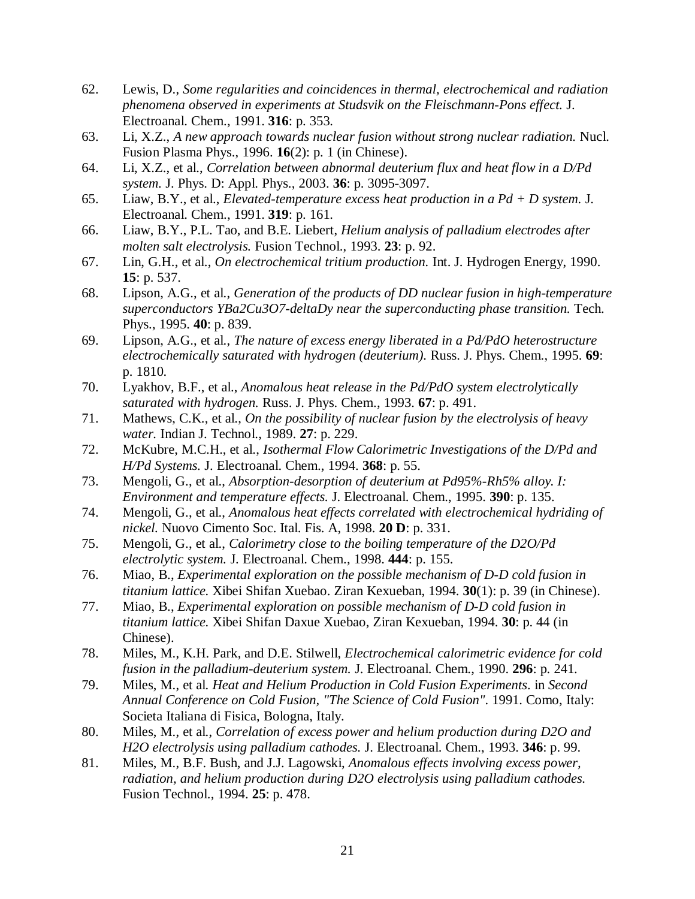- 62. Lewis, D., *Some regularities and coincidences in thermal, electrochemical and radiation phenomena observed in experiments at Studsvik on the Fleischmann-Pons effect.* J. Electroanal. Chem., 1991. **316**: p. 353.
- 63. Li, X.Z., *A new approach towards nuclear fusion without strong nuclear radiation.* Nucl. Fusion Plasma Phys., 1996. **16**(2): p. 1 (in Chinese).
- 64. Li, X.Z., et al., *Correlation between abnormal deuterium flux and heat flow in a D/Pd system.* J. Phys. D: Appl. Phys., 2003. **36**: p. 3095-3097.
- 65. Liaw, B.Y., et al., *Elevated-temperature excess heat production in a Pd + D system.* J. Electroanal. Chem., 1991. **319**: p. 161.
- 66. Liaw, B.Y., P.L. Tao, and B.E. Liebert, *Helium analysis of palladium electrodes after molten salt electrolysis.* Fusion Technol., 1993. **23**: p. 92.
- 67. Lin, G.H., et al., *On electrochemical tritium production.* Int. J. Hydrogen Energy, 1990. **15**: p. 537.
- 68. Lipson, A.G., et al., *Generation of the products of DD nuclear fusion in high-temperature superconductors YBa2Cu3O7-deltaDy near the superconducting phase transition.* Tech. Phys., 1995. **40**: p. 839.
- 69. Lipson, A.G., et al., *The nature of excess energy liberated in a Pd/PdO heterostructure electrochemically saturated with hydrogen (deuterium).* Russ. J. Phys. Chem., 1995. **69**: p. 1810.
- 70. Lyakhov, B.F., et al., *Anomalous heat release in the Pd/PdO system electrolytically saturated with hydrogen.* Russ. J. Phys. Chem., 1993. **67**: p. 491.
- 71. Mathews, C.K., et al., *On the possibility of nuclear fusion by the electrolysis of heavy water.* Indian J. Technol., 1989. **27**: p. 229.
- 72. McKubre, M.C.H., et al., *Isothermal Flow Calorimetric Investigations of the D/Pd and H/Pd Systems.* J. Electroanal. Chem., 1994. **368**: p. 55.
- 73. Mengoli, G., et al., *Absorption-desorption of deuterium at Pd95%-Rh5% alloy. I: Environment and temperature effects.* J. Electroanal. Chem., 1995. **390**: p. 135.
- 74. Mengoli, G., et al., *Anomalous heat effects correlated with electrochemical hydriding of nickel.* Nuovo Cimento Soc. Ital. Fis. A, 1998. **20 D**: p. 331.
- 75. Mengoli, G., et al., *Calorimetry close to the boiling temperature of the D2O/Pd electrolytic system.* J. Electroanal. Chem., 1998. **444**: p. 155.
- 76. Miao, B., *Experimental exploration on the possible mechanism of D-D cold fusion in titanium lattice.* Xibei Shifan Xuebao. Ziran Kexueban, 1994. **30**(1): p. 39 (in Chinese).
- 77. Miao, B., *Experimental exploration on possible mechanism of D-D cold fusion in titanium lattice.* Xibei Shifan Daxue Xuebao, Ziran Kexueban, 1994. **30**: p. 44 (in Chinese).
- 78. Miles, M., K.H. Park, and D.E. Stilwell, *Electrochemical calorimetric evidence for cold fusion in the palladium-deuterium system.* J. Electroanal. Chem., 1990. **296**: p. 241.
- 79. Miles, M., et al. *Heat and Helium Production in Cold Fusion Experiments*. in *Second Annual Conference on Cold Fusion, "The Science of Cold Fusion"*. 1991. Como, Italy: Societa Italiana di Fisica, Bologna, Italy.
- 80. Miles, M., et al., *Correlation of excess power and helium production during D2O and H2O electrolysis using palladium cathodes.* J. Electroanal. Chem., 1993. **346**: p. 99.
- 81. Miles, M., B.F. Bush, and J.J. Lagowski, *Anomalous effects involving excess power, radiation, and helium production during D2O electrolysis using palladium cathodes.* Fusion Technol., 1994. **25**: p. 478.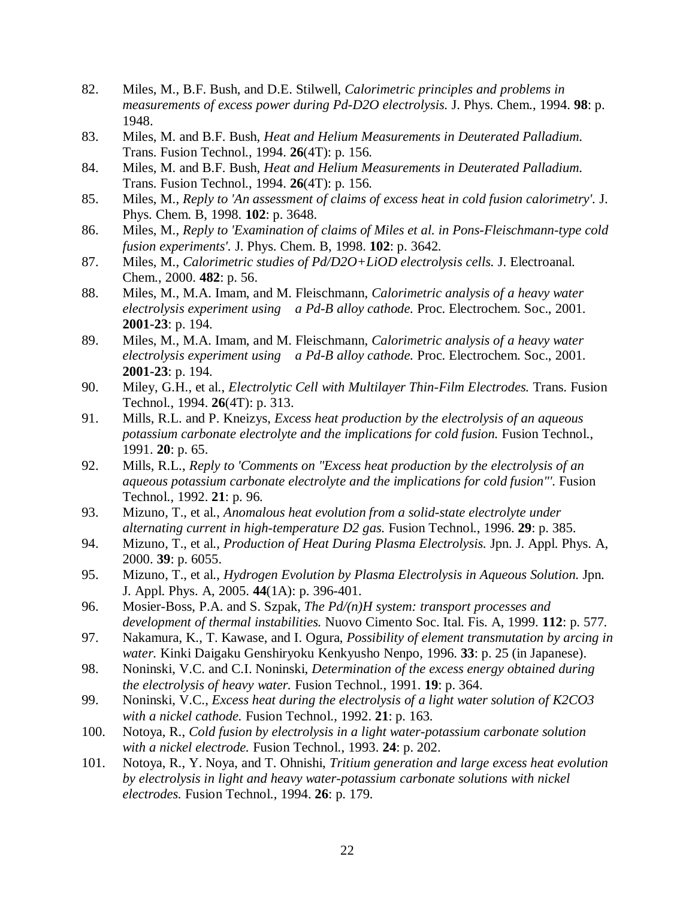- 82. Miles, M., B.F. Bush, and D.E. Stilwell, *Calorimetric principles and problems in measurements of excess power during Pd-D2O electrolysis.* J. Phys. Chem., 1994. **98**: p. 1948.
- 83. Miles, M. and B.F. Bush, *Heat and Helium Measurements in Deuterated Palladium.* Trans. Fusion Technol., 1994. **26**(4T): p. 156.
- 84. Miles, M. and B.F. Bush, *Heat and Helium Measurements in Deuterated Palladium.* Trans. Fusion Technol., 1994. **26**(4T): p. 156.
- 85. Miles, M., *Reply to 'An assessment of claims of excess heat in cold fusion calorimetry'.* J. Phys. Chem. B, 1998. **102**: p. 3648.
- 86. Miles, M., *Reply to 'Examination of claims of Miles et al. in Pons-Fleischmann-type cold fusion experiments'.* J. Phys. Chem. B, 1998. **102**: p. 3642.
- 87. Miles, M., *Calorimetric studies of Pd/D2O+LiOD electrolysis cells.* J. Electroanal. Chem., 2000. **482**: p. 56.
- 88. Miles, M., M.A. Imam, and M. Fleischmann, *Calorimetric analysis of a heavy water electrolysis experiment using a Pd-B alloy cathode.* Proc. Electrochem. Soc., 2001. **2001-23**: p. 194.
- 89. Miles, M., M.A. Imam, and M. Fleischmann, *Calorimetric analysis of a heavy water electrolysis experiment using a Pd-B alloy cathode.* Proc. Electrochem. Soc., 2001. **2001-23**: p. 194.
- 90. Miley, G.H., et al., *Electrolytic Cell with Multilayer Thin-Film Electrodes.* Trans. Fusion Technol., 1994. **26**(4T): p. 313.
- 91. Mills, R.L. and P. Kneizys, *Excess heat production by the electrolysis of an aqueous potassium carbonate electrolyte and the implications for cold fusion.* Fusion Technol., 1991. **20**: p. 65.
- 92. Mills, R.L., *Reply to 'Comments on "Excess heat production by the electrolysis of an aqueous potassium carbonate electrolyte and the implications for cold fusion"'.* Fusion Technol., 1992. **21**: p. 96.
- 93. Mizuno, T., et al., *Anomalous heat evolution from a solid-state electrolyte under alternating current in high-temperature D2 gas.* Fusion Technol., 1996. **29**: p. 385.
- 94. Mizuno, T., et al., *Production of Heat During Plasma Electrolysis.* Jpn. J. Appl. Phys. A, 2000. **39**: p. 6055.
- 95. Mizuno, T., et al., *Hydrogen Evolution by Plasma Electrolysis in Aqueous Solution.* Jpn. J. Appl. Phys. A, 2005. **44**(1A): p. 396-401.
- 96. Mosier-Boss, P.A. and S. Szpak, *The Pd/(n)H system: transport processes and development of thermal instabilities.* Nuovo Cimento Soc. Ital. Fis. A, 1999. **112**: p. 577.
- 97. Nakamura, K., T. Kawase, and I. Ogura, *Possibility of element transmutation by arcing in water.* Kinki Daigaku Genshiryoku Kenkyusho Nenpo, 1996. **33**: p. 25 (in Japanese).
- 98. Noninski, V.C. and C.I. Noninski, *Determination of the excess energy obtained during the electrolysis of heavy water.* Fusion Technol., 1991. **19**: p. 364.
- 99. Noninski, V.C., *Excess heat during the electrolysis of a light water solution of K2CO3 with a nickel cathode.* Fusion Technol., 1992. **21**: p. 163.
- 100. Notoya, R., *Cold fusion by electrolysis in a light water-potassium carbonate solution with a nickel electrode.* Fusion Technol., 1993. **24**: p. 202.
- 101. Notoya, R., Y. Noya, and T. Ohnishi, *Tritium generation and large excess heat evolution by electrolysis in light and heavy water-potassium carbonate solutions with nickel electrodes.* Fusion Technol., 1994. **26**: p. 179.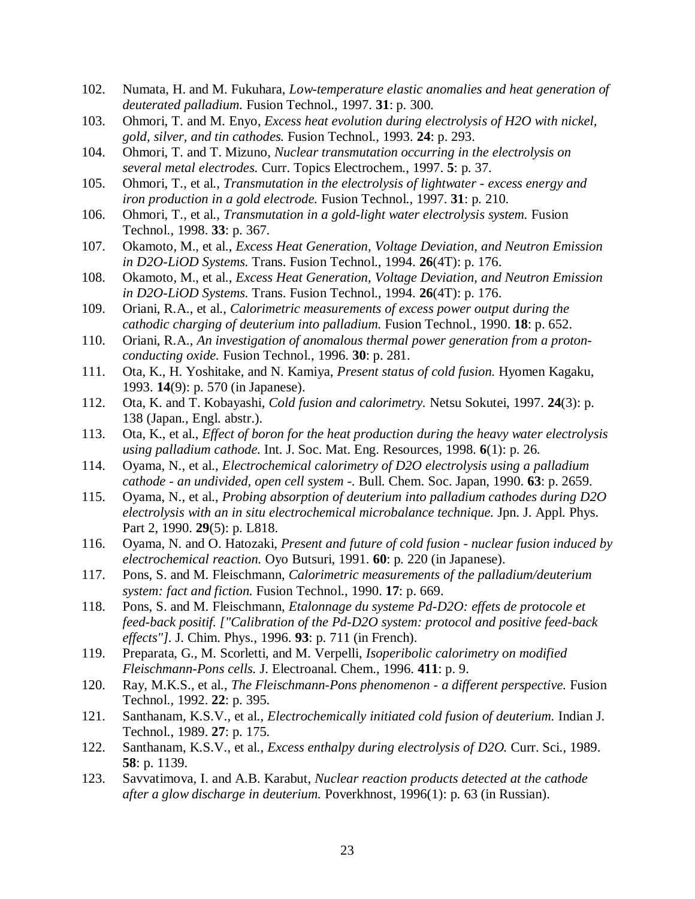- 102. Numata, H. and M. Fukuhara, *Low-temperature elastic anomalies and heat generation of deuterated palladium.* Fusion Technol., 1997. **31**: p. 300.
- 103. Ohmori, T. and M. Enyo, *Excess heat evolution during electrolysis of H2O with nickel, gold, silver, and tin cathodes.* Fusion Technol., 1993. **24**: p. 293.
- 104. Ohmori, T. and T. Mizuno, *Nuclear transmutation occurring in the electrolysis on several metal electrodes.* Curr. Topics Electrochem., 1997. **5**: p. 37.
- 105. Ohmori, T., et al., *Transmutation in the electrolysis of lightwater excess energy and iron production in a gold electrode.* Fusion Technol., 1997. **31**: p. 210.
- 106. Ohmori, T., et al., *Transmutation in a gold-light water electrolysis system.* Fusion Technol., 1998. **33**: p. 367.
- 107. Okamoto, M., et al., *Excess Heat Generation, Voltage Deviation, and Neutron Emission in D2O-LiOD Systems.* Trans. Fusion Technol., 1994. **26**(4T): p. 176.
- 108. Okamoto, M., et al., *Excess Heat Generation, Voltage Deviation, and Neutron Emission in D2O-LiOD Systems.* Trans. Fusion Technol., 1994. **26**(4T): p. 176.
- 109. Oriani, R.A., et al., *Calorimetric measurements of excess power output during the cathodic charging of deuterium into palladium.* Fusion Technol., 1990. **18**: p. 652.
- 110. Oriani, R.A., *An investigation of anomalous thermal power generation from a protonconducting oxide.* Fusion Technol., 1996. **30**: p. 281.
- 111. Ota, K., H. Yoshitake, and N. Kamiya, *Present status of cold fusion.* Hyomen Kagaku, 1993. **14**(9): p. 570 (in Japanese).
- 112. Ota, K. and T. Kobayashi, *Cold fusion and calorimetry.* Netsu Sokutei, 1997. **24**(3): p. 138 (Japan., Engl. abstr.).
- 113. Ota, K., et al., *Effect of boron for the heat production during the heavy water electrolysis using palladium cathode.* Int. J. Soc. Mat. Eng. Resources, 1998. **6**(1): p. 26.
- 114. Oyama, N., et al., *Electrochemical calorimetry of D2O electrolysis using a palladium cathode - an undivided, open cell system -.* Bull. Chem. Soc. Japan, 1990. **63**: p. 2659.
- 115. Oyama, N., et al., *Probing absorption of deuterium into palladium cathodes during D2O electrolysis with an in situ electrochemical microbalance technique.* Jpn. J. Appl. Phys. Part 2, 1990. **29**(5): p. L818.
- 116. Oyama, N. and O. Hatozaki, *Present and future of cold fusion nuclear fusion induced by electrochemical reaction.* Oyo Butsuri, 1991. **60**: p. 220 (in Japanese).
- 117. Pons, S. and M. Fleischmann, *Calorimetric measurements of the palladium/deuterium system: fact and fiction.* Fusion Technol., 1990. **17**: p. 669.
- 118. Pons, S. and M. Fleischmann, *Etalonnage du systeme Pd-D2O: effets de protocole et feed-back positif. ["Calibration of the Pd-D2O system: protocol and positive feed-back effects"].* J. Chim. Phys., 1996. **93**: p. 711 (in French).
- 119. Preparata, G., M. Scorletti, and M. Verpelli, *Isoperibolic calorimetry on modified Fleischmann-Pons cells.* J. Electroanal. Chem., 1996. **411**: p. 9.
- 120. Ray, M.K.S., et al., *The Fleischmann-Pons phenomenon a different perspective.* Fusion Technol., 1992. **22**: p. 395.
- 121. Santhanam, K.S.V., et al., *Electrochemically initiated cold fusion of deuterium.* Indian J. Technol., 1989. **27**: p. 175.
- 122. Santhanam, K.S.V., et al., *Excess enthalpy during electrolysis of D2O.* Curr. Sci., 1989. **58**: p. 1139.
- 123. Savvatimova, I. and A.B. Karabut, *Nuclear reaction products detected at the cathode after a glow discharge in deuterium.* Poverkhnost, 1996(1): p. 63 (in Russian).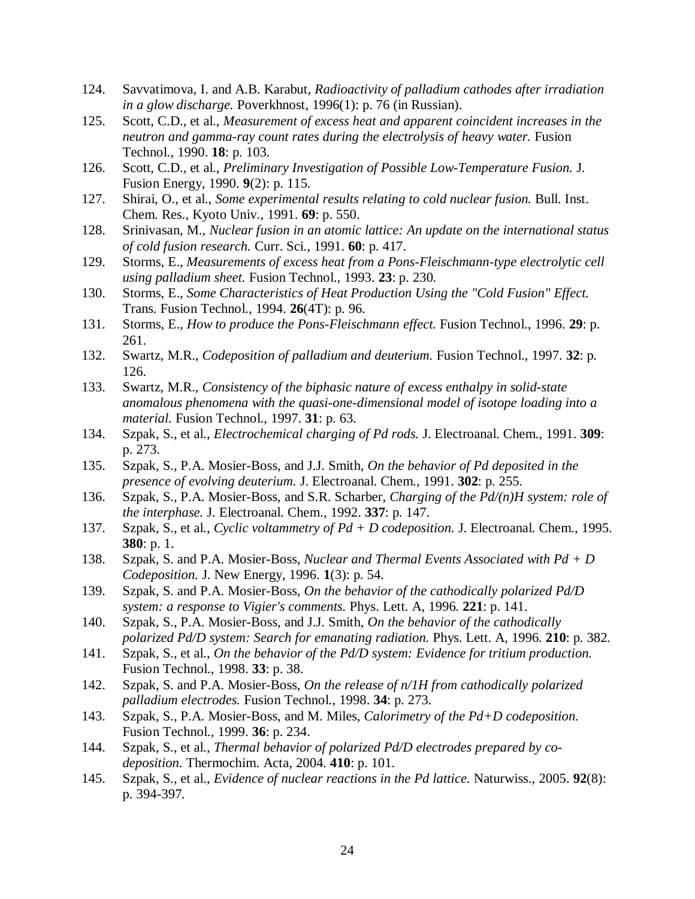- 124. Savvatimova, I. and A.B. Karabut, *Radioactivity of palladium cathodes after irradiation in a glow discharge.* Poverkhnost, 1996(1): p. 76 (in Russian).
- 125. Scott, C.D., et al., *Measurement of excess heat and apparent coincident increases in the neutron and gamma-ray count rates during the electrolysis of heavy water.* Fusion Technol., 1990. **18**: p. 103.
- 126. Scott, C.D., et al., *Preliminary Investigation of Possible Low-Temperature Fusion.* J. Fusion Energy, 1990. **9**(2): p. 115.
- 127. Shirai, O., et al., *Some experimental results relating to cold nuclear fusion.* Bull. Inst. Chem. Res., Kyoto Univ., 1991. **69**: p. 550.
- 128. Srinivasan, M., *Nuclear fusion in an atomic lattice: An update on the international status of cold fusion research.* Curr. Sci., 1991. **60**: p. 417.
- 129. Storms, E., *Measurements of excess heat from a Pons-Fleischmann-type electrolytic cell using palladium sheet.* Fusion Technol., 1993. **23**: p. 230.
- 130. Storms, E., *Some Characteristics of Heat Production Using the "Cold Fusion" Effect.* Trans. Fusion Technol., 1994. **26**(4T): p. 96.
- 131. Storms, E., *How to produce the Pons-Fleischmann effect.* Fusion Technol., 1996. **29**: p. 261.
- 132. Swartz, M.R., *Codeposition of palladium and deuterium.* Fusion Technol., 1997. **32**: p. 126.
- 133. Swartz, M.R., *Consistency of the biphasic nature of excess enthalpy in solid-state anomalous phenomena with the quasi-one-dimensional model of isotope loading into a material.* Fusion Technol., 1997. **31**: p. 63.
- 134. Szpak, S., et al., *Electrochemical charging of Pd rods.* J. Electroanal. Chem., 1991. **309**: p. 273.
- 135. Szpak, S., P.A. Mosier-Boss, and J.J. Smith, *On the behavior of Pd deposited in the presence of evolving deuterium.* J. Electroanal. Chem., 1991. **302**: p. 255.
- 136. Szpak, S., P.A. Mosier-Boss, and S.R. Scharber, *Charging of the Pd/(n)H system: role of the interphase.* J. Electroanal. Chem., 1992. **337**: p. 147.
- 137. Szpak, S., et al., *Cyclic voltammetry of Pd + D codeposition.* J. Electroanal. Chem., 1995. **380**: p. 1.
- 138. Szpak, S. and P.A. Mosier-Boss, *Nuclear and Thermal Events Associated with Pd + D Codeposition.* J. New Energy, 1996. **1**(3): p. 54.
- 139. Szpak, S. and P.A. Mosier-Boss, *On the behavior of the cathodically polarized Pd/D system: a response to Vigier's comments.* Phys. Lett. A, 1996. **221**: p. 141.
- 140. Szpak, S., P.A. Mosier-Boss, and J.J. Smith, *On the behavior of the cathodically polarized Pd/D system: Search for emanating radiation.* Phys. Lett. A, 1996. **210**: p. 382.
- 141. Szpak, S., et al., *On the behavior of the Pd/D system: Evidence for tritium production.* Fusion Technol., 1998. **33**: p. 38.
- 142. Szpak, S. and P.A. Mosier-Boss, *On the release of n/1H from cathodically polarized palladium electrodes.* Fusion Technol., 1998. **34**: p. 273.
- 143. Szpak, S., P.A. Mosier-Boss, and M. Miles, *Calorimetry of the Pd+D codeposition.* Fusion Technol., 1999. **36**: p. 234.
- 144. Szpak, S., et al., *Thermal behavior of polarized Pd/D electrodes prepared by codeposition.* Thermochim. Acta, 2004. **410**: p. 101.
- 145. Szpak, S., et al., *Evidence of nuclear reactions in the Pd lattice.* Naturwiss., 2005. **92**(8): p. 394-397.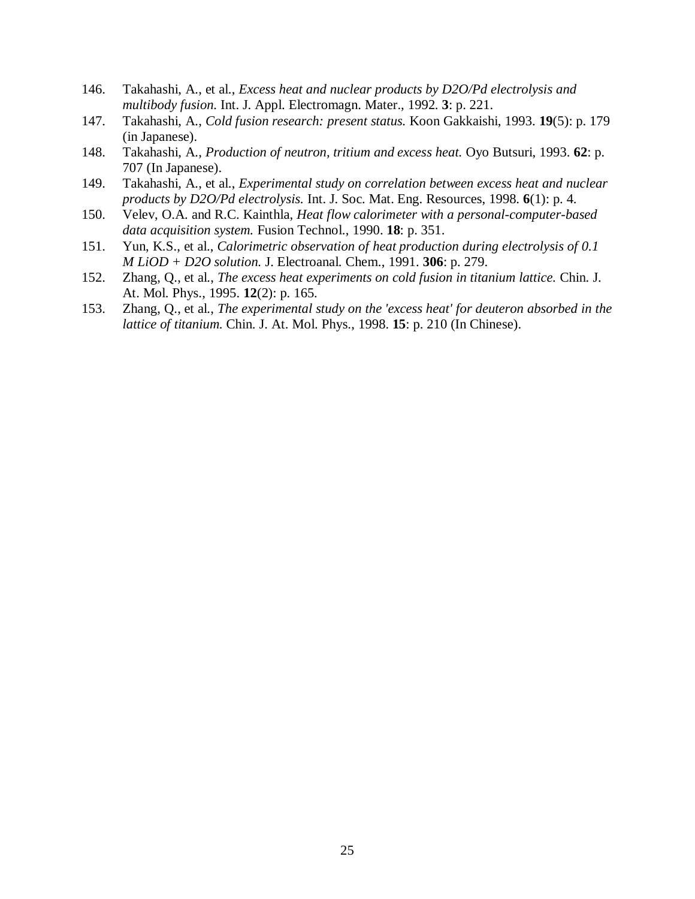- 146. Takahashi, A., et al., *Excess heat and nuclear products by D2O/Pd electrolysis and multibody fusion.* Int. J. Appl. Electromagn. Mater., 1992. **3**: p. 221.
- 147. Takahashi, A., *Cold fusion research: present status.* Koon Gakkaishi, 1993. **19**(5): p. 179 (in Japanese).
- 148. Takahashi, A., *Production of neutron, tritium and excess heat.* Oyo Butsuri, 1993. **62**: p. 707 (In Japanese).
- 149. Takahashi, A., et al., *Experimental study on correlation between excess heat and nuclear products by D2O/Pd electrolysis.* Int. J. Soc. Mat. Eng. Resources, 1998. **6**(1): p. 4.
- 150. Velev, O.A. and R.C. Kainthla, *Heat flow calorimeter with a personal-computer-based data acquisition system.* Fusion Technol., 1990. **18**: p. 351.
- 151. Yun, K.S., et al., *Calorimetric observation of heat production during electrolysis of 0.1 M LiOD + D2O solution.* J. Electroanal. Chem., 1991. **306**: p. 279.
- 152. Zhang, Q., et al., *The excess heat experiments on cold fusion in titanium lattice.* Chin. J. At. Mol. Phys., 1995. **12**(2): p. 165.
- 153. Zhang, Q., et al., *The experimental study on the 'excess heat' for deuteron absorbed in the lattice of titanium.* Chin. J. At. Mol. Phys., 1998. **15**: p. 210 (In Chinese).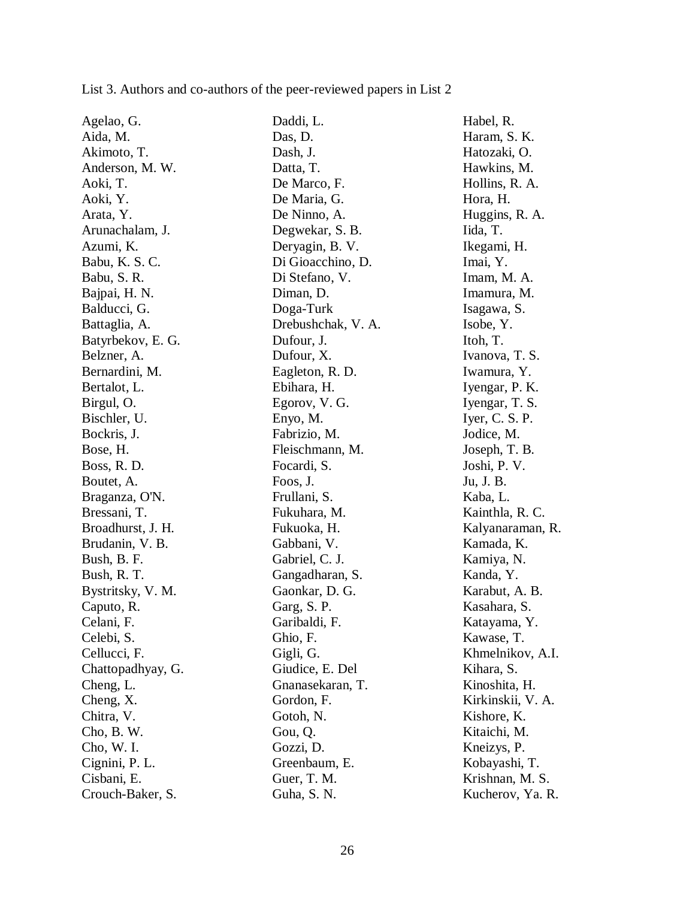| Agelao, G.        | Daddi, L.          | Habel, R.         |
|-------------------|--------------------|-------------------|
| Aida, M.          | Das, D.            | Haram, S. K.      |
| Akimoto, T.       | Dash, J.           | Hatozaki, O.      |
| Anderson, M. W.   | Datta, T.          | Hawkins, M.       |
| Aoki, T.          | De Marco, F.       | Hollins, R. A.    |
| Aoki, Y.          | De Maria, G.       | Hora, H.          |
| Arata, Y.         | De Ninno, A.       | Huggins, R. A.    |
| Arunachalam, J.   | Degwekar, S. B.    | Iida, T.          |
| Azumi, K.         | Deryagin, B. V.    | Ikegami, H.       |
| Babu, K. S. C.    | Di Gioacchino, D.  | Imai, Y.          |
| Babu, S. R.       | Di Stefano, V.     | Imam, M. A.       |
| Bajpai, H. N.     | Diman, D.          | Imamura, M.       |
| Balducci, G.      | Doga-Turk          | Isagawa, S.       |
| Battaglia, A.     | Drebushchak, V. A. | Isobe, Y.         |
| Batyrbekov, E. G. | Dufour, J.         | Itoh, T.          |
| Belzner, A.       | Dufour, X.         | Ivanova, T. S.    |
| Bernardini, M.    | Eagleton, R. D.    | Iwamura, Y.       |
| Bertalot, L.      | Ebihara, H.        | Iyengar, P. K.    |
| Birgul, O.        | Egorov, V. G.      | Iyengar, T. S.    |
| Bischler, U.      | Enyo, M.           | Iyer, C. S. P.    |
| Bockris, J.       | Fabrizio, M.       | Jodice, M.        |
| Bose, H.          | Fleischmann, M.    | Joseph, T. B.     |
| Boss, R. D.       | Focardi, S.        | Joshi, P. V.      |
| Boutet, A.        | Foos, J.           | Ju, J. B.         |
| Braganza, O'N.    | Frullani, S.       | Kaba, L.          |
| Bressani, T.      | Fukuhara, M.       | Kainthla, R. C.   |
| Broadhurst, J. H. | Fukuoka, H.        | Kalyanaraman, R.  |
| Brudanin, V. B.   | Gabbani, V.        | Kamada, K.        |
| Bush, B. F.       | Gabriel, C. J.     | Kamiya, N.        |
| Bush, R. T.       | Gangadharan, S.    | Kanda, Y.         |
| Bystritsky, V. M. | Gaonkar, D. G.     | Karabut, A. B.    |
| Caputo, R.        | Garg, S. P.        | Kasahara, S.      |
| Celani, F.        | Garibaldi, F.      | Katayama, Y.      |
| Celebi, S.        | Ghio, F.           | Kawase, T.        |
| Cellucci, F.      | Gigli, G.          | Khmelnikov, A.I.  |
| Chattopadhyay, G. | Giudice, E. Del    | Kihara, S.        |
| Cheng, L.         | Gnanasekaran, T.   | Kinoshita, H.     |
| Cheng, X.         | Gordon, F.         | Kirkinskii, V. A. |
| Chitra, V.        | Gotoh, N.          | Kishore, K.       |
| Cho, B. W.        | Gou, Q.            | Kitaichi, M.      |
| Cho, W. I.        | Gozzi, D.          | Kneizys, P.       |
| Cignini, P. L.    | Greenbaum, E.      | Kobayashi, T.     |
| Cisbani, E.       | Guer, T. M.        | Krishnan, M. S.   |
| Crouch-Baker, S.  | Guha, S. N.        | Kucherov, Ya. R.  |

List 3. Authors and co-authors of the peer-reviewed papers in List 2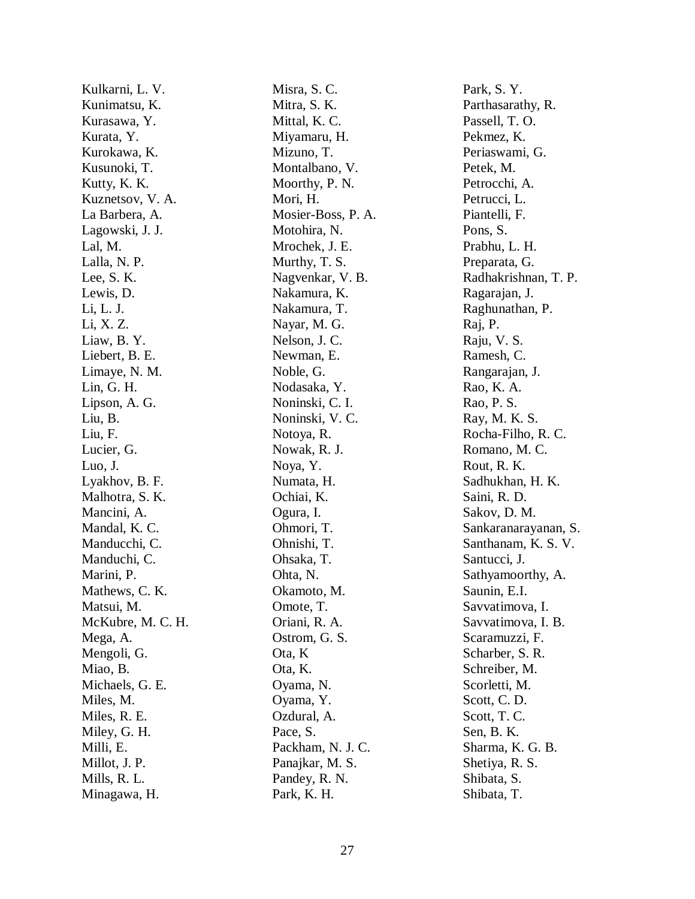Kulkarni, L. V. Kunimatsu, K. Kurasawa, Y. Kurata, Y. Kurokawa, K. Kusunoki, T. Kutty, K. K. Kuznetsov, V. A. La Barbera, A. Lagowski, J. J. Lal, M. Lalla, N. P. Lee, S. K. Lewis, D. Li, L. J. Li, X. Z. Liaw, B. Y. Liebert, B. E. Limaye, N. M. Lin, G. H. Lipson, A. G. Liu, B. Liu, F. Lucier, G. Luo, J. Lyakhov, B. F. Malhotra, S. K. Mancini, A. Mandal, K. C. Manducchi, C. Manduchi, C. Marini, P. Mathews, C. K. Matsui, M. McKubre, M. C. H. Mega, A. Mengoli, G. Miao, B. Michaels, G. E. Miles, M. Miles, R. E. Miley, G. H. Milli, E. Millot, J. P. Mills, R. L. Minagawa, H.

Misra, S. C. Mitra, S. K. Mittal, K. C. Miyamaru, H. Mizuno, T. Montalbano, V. Moorthy, P. N. Mori, H. Mosier-Boss, P. A. Motohira, N. Mrochek, J. E. Murthy, T. S. Nagvenkar, V. B. Nakamura, K. Nakamura, T. Nayar, M. G. Nelson, J. C. Newman, E. Noble, G. Nodasaka, Y. Noninski, C. I. Noninski, V. C. Notoya, R. Nowak, R. J. Noya, Y. Numata, H. Ochiai, K. Ogura, I. Ohmori, T. Ohnishi, T. Ohsaka, T. Ohta, N. Okamoto, M. Omote, T. Oriani, R. A. Ostrom, G. S. Ota, K Ota, K. Oyama, N. Oyama, Y. Ozdural, A. Pace, S. Packham, N. J. C. Panajkar, M. S. Pandey, R. N. Park, K. H.

Park, S. Y. Parthasarathy, R. Passell, T. O. Pekmez, K. Periaswami, G. Petek, M. Petrocchi, A. Petrucci, L. Piantelli, F. Pons, S. Prabhu, L. H. Preparata, G. Radhakrishnan, T. P. Ragarajan, J. Raghunathan, P. Raj, P. Raju, V. S. Ramesh, C. Rangarajan, J. Rao, K. A. Rao, P. S. Ray, M. K. S. Rocha-Filho, R. C. Romano, M. C. Rout, R. K. Sadhukhan, H. K. Saini, R. D. Sakov, D. M. Sankaranarayanan, S. Santhanam, K. S. V. Santucci, J. Sathyamoorthy, A. Saunin, E.I. Savvatimova, I. Savvatimova, I. B. Scaramuzzi, F. Scharber, S. R. Schreiber, M. Scorletti, M. Scott, C. D. Scott, T. C. Sen, B. K. Sharma, K. G. B. Shetiya, R. S. Shibata, S. Shibata, T.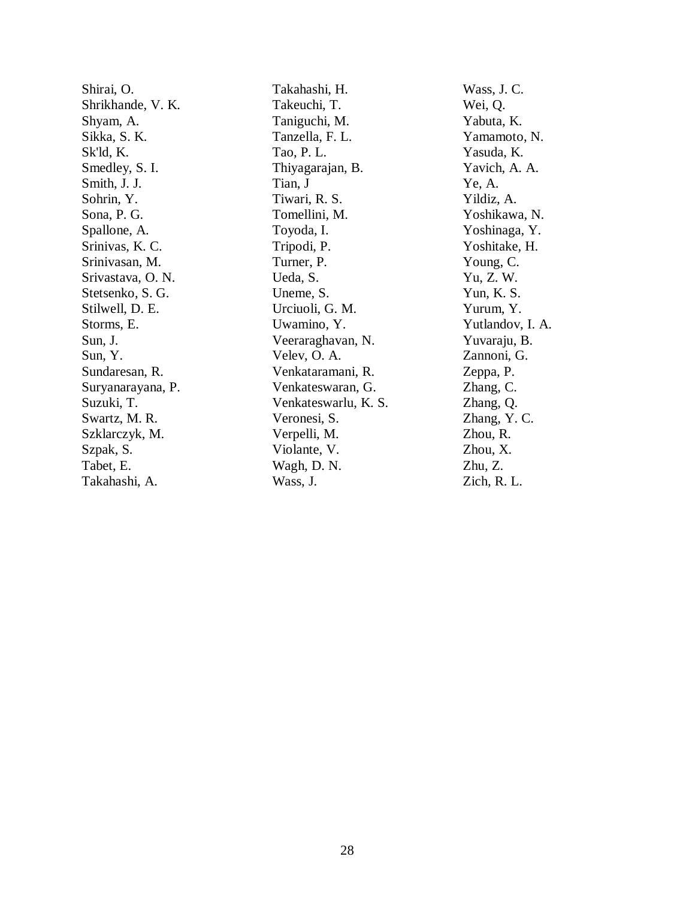Shirai, O. Shrikhande, V. K. Shyam, A. Sikka, S. K. Sk'ld, K. Smedley, S. I. Smith, J. J. Sohrin, Y. Sona, P. G. Spallone, A. Srinivas, K. C. Srinivasan, M. Srivastava, O. N. Stetsenko, S. G. Stilwell, D. E. Storms, E. Sun, J. Sun, Y. Sundaresan, R. Suryanarayana, P. Suzuki, T. Swartz, M. R. Szklarczyk, M. Szpak, S. Tabet, E. Takahashi, A.

Takahashi, H. Takeuchi, T. Taniguchi, M. Tanzella, F. L. Tao, P. L. Thiyagarajan, B. Tian, J Tiwari, R. S. Tomellini, M. Toyoda, I. Tripodi, P. Turner, P. Ueda, S. Uneme, S. Urciuoli, G. M. Uwamino, Y. Veeraraghavan, N. Velev, O. A. Venkataramani, R. Venkateswaran, G. Venkateswarlu, K. S. Veronesi, S. Verpelli, M. Violante, V. Wagh, D. N. Wass, J.

Wass, J. C. Wei, Q. Yabuta, K. Yamamoto, N. Yasuda, K. Yavich, A. A. Ye, A. Yildiz, A. Yoshikawa, N. Yoshinaga, Y. Yoshitake, H. Young, C. Yu, Z. W. Yun, K. S. Yurum, Y. Yutlandov, I. A. Yuvaraju, B. Zannoni, G. Zeppa, P. Zhang, C. Zhang, Q. Zhang, Y. C. Zhou, R. Zhou, X. Zhu, Z. Zich, R. L.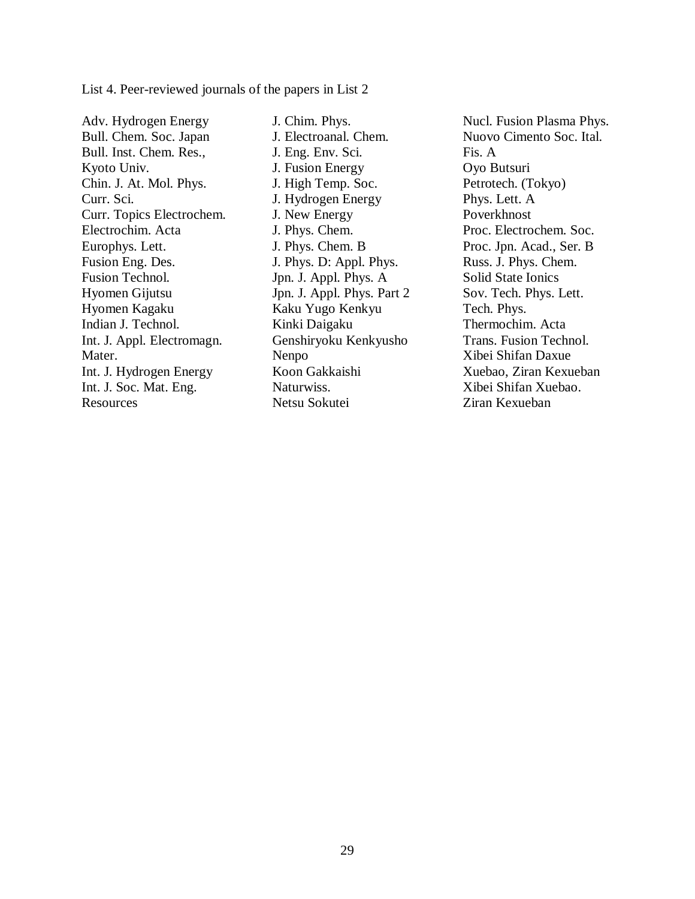List 4. Peer-reviewed journals of the papers in List 2

Adv. Hydrogen Energy Bull. Chem. Soc. Japan Bull. Inst. Chem. Res., Kyoto Univ. Chin. J. At. Mol. Phys. Curr. Sci. Curr. Topics Electrochem. Electrochim. Acta Europhys. Lett. Fusion Eng. Des. Fusion Technol. Hyomen Gijutsu Hyomen Kagaku Indian J. Technol. Int. J. Appl. Electromagn. Mater. Int. J. Hydrogen Energy Int. J. Soc. Mat. Eng. Resources

J. Chim. Phys. J. Electroanal. Chem. J. Eng. Env. Sci. J. Fusion Energy J. High Temp. Soc. J. Hydrogen Energy J. New Energy J. Phys. Chem. J. Phys. Chem. B J. Phys. D: Appl. Phys. Jpn. J. Appl. Phys. A Jpn. J. Appl. Phys. Part 2 Kaku Yugo Kenkyu Kinki Daigaku Genshiryoku Kenkyusho Nenpo Koon Gakkaishi Naturwiss. Netsu Sokutei

Nucl. Fusion Plasma Phys. Nuovo Cimento Soc. Ital. Fis. A Oyo Butsuri Petrotech. (Tokyo) Phys. Lett. A Poverkhnost Proc. Electrochem. Soc. Proc. Jpn. Acad., Ser. B Russ. J. Phys. Chem. Solid State Ionics Sov. Tech. Phys. Lett. Tech. Phys. Thermochim. Acta Trans. Fusion Technol. Xibei Shifan Daxue Xuebao, Ziran Kexueban Xibei Shifan Xuebao. Ziran Kexueban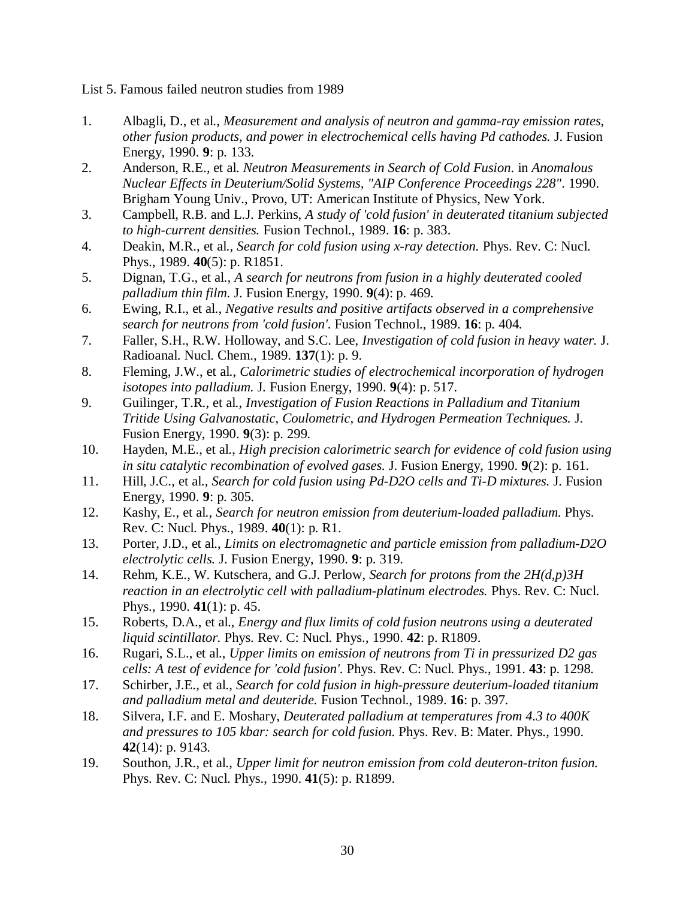List 5. Famous failed neutron studies from 1989

- 1. Albagli, D., et al., *Measurement and analysis of neutron and gamma-ray emission rates, other fusion products, and power in electrochemical cells having Pd cathodes.* J. Fusion Energy, 1990. **9**: p. 133.
- 2. Anderson, R.E., et al. *Neutron Measurements in Search of Cold Fusion*. in *Anomalous Nuclear Effects in Deuterium/Solid Systems, "AIP Conference Proceedings 228"*. 1990. Brigham Young Univ., Provo, UT: American Institute of Physics, New York.
- 3. Campbell, R.B. and L.J. Perkins, *A study of 'cold fusion' in deuterated titanium subjected to high-current densities.* Fusion Technol., 1989. **16**: p. 383.
- 4. Deakin, M.R., et al., *Search for cold fusion using x-ray detection.* Phys. Rev. C: Nucl. Phys., 1989. **40**(5): p. R1851.
- 5. Dignan, T.G., et al., *A search for neutrons from fusion in a highly deuterated cooled palladium thin film.* J. Fusion Energy, 1990. **9**(4): p. 469.
- 6. Ewing, R.I., et al., *Negative results and positive artifacts observed in a comprehensive search for neutrons from 'cold fusion'.* Fusion Technol., 1989. **16**: p. 404.
- 7. Faller, S.H., R.W. Holloway, and S.C. Lee, *Investigation of cold fusion in heavy water.* J. Radioanal. Nucl. Chem., 1989. **137**(1): p. 9.
- 8. Fleming, J.W., et al., *Calorimetric studies of electrochemical incorporation of hydrogen isotopes into palladium.* J. Fusion Energy, 1990. **9**(4): p. 517.
- 9. Guilinger, T.R., et al., *Investigation of Fusion Reactions in Palladium and Titanium Tritide Using Galvanostatic, Coulometric, and Hydrogen Permeation Techniques.* J. Fusion Energy, 1990. **9**(3): p. 299.
- 10. Hayden, M.E., et al., *High precision calorimetric search for evidence of cold fusion using in situ catalytic recombination of evolved gases.* J. Fusion Energy, 1990. **9**(2): p. 161.
- 11. Hill, J.C., et al., *Search for cold fusion using Pd-D2O cells and Ti-D mixtures.* J. Fusion Energy, 1990. **9**: p. 305.
- 12. Kashy, E., et al., *Search for neutron emission from deuterium-loaded palladium.* Phys. Rev. C: Nucl. Phys., 1989. **40**(1): p. R1.
- 13. Porter, J.D., et al., *Limits on electromagnetic and particle emission from palladium-D2O electrolytic cells.* J. Fusion Energy, 1990. **9**: p. 319.
- 14. Rehm, K.E., W. Kutschera, and G.J. Perlow, *Search for protons from the 2H(d,p)3H reaction in an electrolytic cell with palladium-platinum electrodes.* Phys. Rev. C: Nucl. Phys., 1990. **41**(1): p. 45.
- 15. Roberts, D.A., et al., *Energy and flux limits of cold fusion neutrons using a deuterated liquid scintillator.* Phys. Rev. C: Nucl. Phys., 1990. **42**: p. R1809.
- 16. Rugari, S.L., et al., *Upper limits on emission of neutrons from Ti in pressurized D2 gas cells: A test of evidence for 'cold fusion'.* Phys. Rev. C: Nucl. Phys., 1991. **43**: p. 1298.
- 17. Schirber, J.E., et al., *Search for cold fusion in high-pressure deuterium-loaded titanium and palladium metal and deuteride.* Fusion Technol., 1989. **16**: p. 397.
- 18. Silvera, I.F. and E. Moshary, *Deuterated palladium at temperatures from 4.3 to 400K and pressures to 105 kbar: search for cold fusion.* Phys. Rev. B: Mater. Phys., 1990. **42**(14): p. 9143.
- 19. Southon, J.R., et al., *Upper limit for neutron emission from cold deuteron-triton fusion.* Phys. Rev. C: Nucl. Phys., 1990. **41**(5): p. R1899.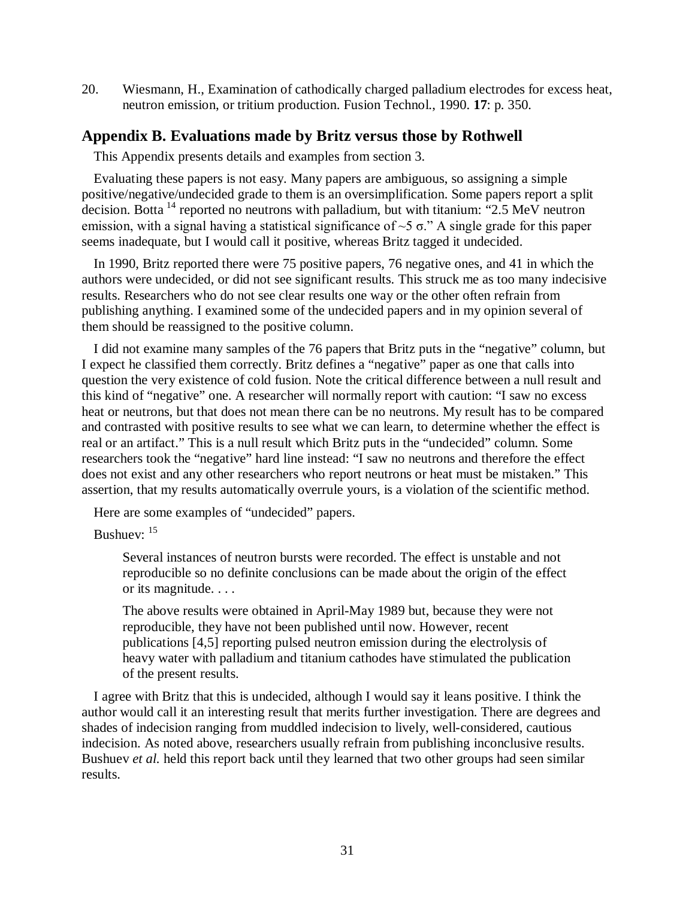20. Wiesmann, H., Examination of cathodically charged palladium electrodes for excess heat, neutron emission, or tritium production. Fusion Technol., 1990. **17**: p. 350.

## **Appendix B. Evaluations made by Britz versus those by Rothwell**

This Appendix presents details and examples from section 3.

Evaluating these papers is not easy. Many papers are ambiguous, so assigning a simple positive/negative/undecided grade to them is an oversimplification. Some papers report a split decision. Botta [14](#page-34-13) reported no neutrons with palladium, but with titanium: "2.5 MeV neutron emission, with a signal having a statistical significance of  $\sim$ 5  $\sigma$ ." A single grade for this paper seems inadequate, but I would call it positive, whereas Britz tagged it undecided.

In 1990, Britz reported there were 75 positive papers, 76 negative ones, and 41 in which the authors were undecided, or did not see significant results. This struck me as too many indecisive results. Researchers who do not see clear results one way or the other often refrain from publishing anything. I examined some of the undecided papers and in my opinion several of them should be reassigned to the positive column.

I did not examine many samples of the 76 papers that Britz puts in the "negative" column, but I expect he classified them correctly. Britz defines a "negative" paper as one that calls into question the very existence of cold fusion. Note the critical difference between a null result and this kind of "negative" one. A researcher will normally report with caution: "I saw no excess heat or neutrons, but that does not mean there can be no neutrons. My result has to be compared and contrasted with positive results to see what we can learn, to determine whether the effect is real or an artifact." This is a null result which Britz puts in the "undecided" column. Some researchers took the "negative" hard line instead: "I saw no neutrons and therefore the effect does not exist and any other researchers who report neutrons or heat must be mistaken." This assertion, that my results automatically overrule yours, is a violation of the scientific method.

Here are some examples of "undecided" papers.

Bushuev: [15](#page-34-14)

Several instances of neutron bursts were recorded. The effect is unstable and not reproducible so no definite conclusions can be made about the origin of the effect or its magnitude. . . .

The above results were obtained in April-May 1989 but, because they were not reproducible, they have not been published until now. However, recent publications [4,5] reporting pulsed neutron emission during the electrolysis of heavy water with palladium and titanium cathodes have stimulated the publication of the present results.

I agree with Britz that this is undecided, although I would say it leans positive. I think the author would call it an interesting result that merits further investigation. There are degrees and shades of indecision ranging from muddled indecision to lively, well-considered, cautious indecision. As noted above, researchers usually refrain from publishing inconclusive results. Bushuev *et al.* held this report back until they learned that two other groups had seen similar results.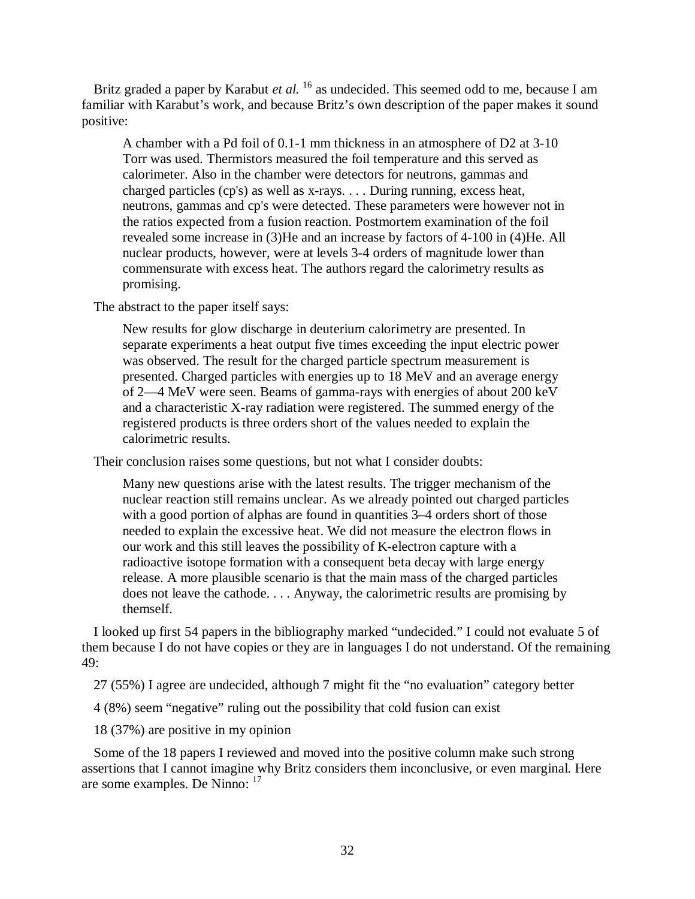Britz graded a paper by Karabut *et al.* <sup>[16](#page-34-15)</sup> as undecided. This seemed odd to me, because I am familiar with Karabut's work, and because Britz's own description of the paper makes it sound positive:

A chamber with a Pd foil of 0.1-1 mm thickness in an atmosphere of D2 at 3-10 Torr was used. Thermistors measured the foil temperature and this served as calorimeter. Also in the chamber were detectors for neutrons, gammas and charged particles (cp's) as well as x-rays. . . . During running, excess heat, neutrons, gammas and cp's were detected. These parameters were however not in the ratios expected from a fusion reaction. Postmortem examination of the foil revealed some increase in (3)He and an increase by factors of 4-100 in (4)He. All nuclear products, however, were at levels 3-4 orders of magnitude lower than commensurate with excess heat. The authors regard the calorimetry results as promising.

The abstract to the paper itself says:

New results for glow discharge in deuterium calorimetry are presented. In separate experiments a heat output five times exceeding the input electric power was observed. The result for the charged particle spectrum measurement is presented. Charged particles with energies up to 18 MeV and an average energy of 2—4 MeV were seen. Beams of gamma-rays with energies of about 200 keV and a characteristic X-ray radiation were registered. The summed energy of the registered products is three orders short of the values needed to explain the calorimetric results.

Their conclusion raises some questions, but not what I consider doubts:

Many new questions arise with the latest results. The trigger mechanism of the nuclear reaction still remains unclear. As we already pointed out charged particles with a good portion of alphas are found in quantities 3–4 orders short of those needed to explain the excessive heat. We did not measure the electron flows in our work and this still leaves the possibility of K-electron capture with a radioactive isotope formation with a consequent beta decay with large energy release. A more plausible scenario is that the main mass of the charged particles does not leave the cathode. . . . Anyway, the calorimetric results are promising by themself.

I looked up first 54 papers in the bibliography marked "undecided." I could not evaluate 5 of them because I do not have copies or they are in languages I do not understand. Of the remaining 49:

27 (55%) I agree are undecided, although 7 might fit the "no evaluation" category better

4 (8%) seem "negative" ruling out the possibility that cold fusion can exist

18 (37%) are positive in my opinion

Some of the 18 papers I reviewed and moved into the positive column make such strong assertions that I cannot imagine why Britz considers them inconclusive, or even marginal. Here are some examples. De Ninno: [17](#page-34-16)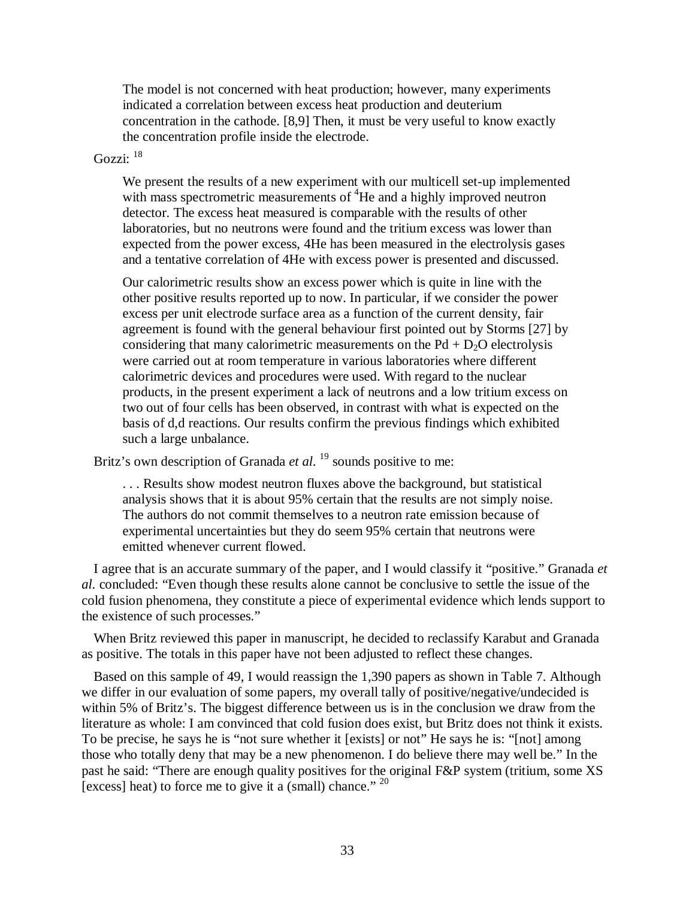The model is not concerned with heat production; however, many experiments indicated a correlation between excess heat production and deuterium concentration in the cathode. [8,9] Then, it must be very useful to know exactly the concentration profile inside the electrode.

## Gozzi: <sup>[18](#page-34-17)</sup>

We present the results of a new experiment with our multicell set-up implemented with mass spectrometric measurements of  ${}^{4}$ He and a highly improved neutron detector. The excess heat measured is comparable with the results of other laboratories, but no neutrons were found and the tritium excess was lower than expected from the power excess, 4He has been measured in the electrolysis gases and a tentative correlation of 4He with excess power is presented and discussed.

Our calorimetric results show an excess power which is quite in line with the other positive results reported up to now. In particular, if we consider the power excess per unit electrode surface area as a function of the current density, fair agreement is found with the general behaviour first pointed out by Storms [27] by considering that many calorimetric measurements on the  $Pd + D<sub>2</sub>O$  electrolysis were carried out at room temperature in various laboratories where different calorimetric devices and procedures were used. With regard to the nuclear products, in the present experiment a lack of neutrons and a low tritium excess on two out of four cells has been observed, in contrast with what is expected on the basis of d,d reactions. Our results confirm the previous findings which exhibited such a large unbalance.

Britz's own description of Granada *et al.* <sup>[19](#page-34-18)</sup> sounds positive to me:

. . . Results show modest neutron fluxes above the background, but statistical analysis shows that it is about 95% certain that the results are not simply noise. The authors do not commit themselves to a neutron rate emission because of experimental uncertainties but they do seem 95% certain that neutrons were emitted whenever current flowed.

I agree that is an accurate summary of the paper, and I would classify it "positive." Granada *et al.* concluded: "Even though these results alone cannot be conclusive to settle the issue of the cold fusion phenomena, they constitute a piece of experimental evidence which lends support to the existence of such processes."

When Britz reviewed this paper in manuscript, he decided to reclassify Karabut and Granada as positive. The totals in this paper have not been adjusted to reflect these changes.

Based on this sample of 49, I would reassign the 1,390 papers as shown in Table 7. Although we differ in our evaluation of some papers, my overall tally of positive/negative/undecided is within 5% of Britz's. The biggest difference between us is in the conclusion we draw from the literature as whole: I am convinced that cold fusion does exist, but Britz does not think it exists. To be precise, he says he is "not sure whether it [exists] or not" He says he is: "[not] among those who totally deny that may be a new phenomenon. I do believe there may well be." In the past he said: "There are enough quality positives for the original F&P system (tritium, some XS [excess] heat) to force me to give it a (small) chance." [20](#page-34-19)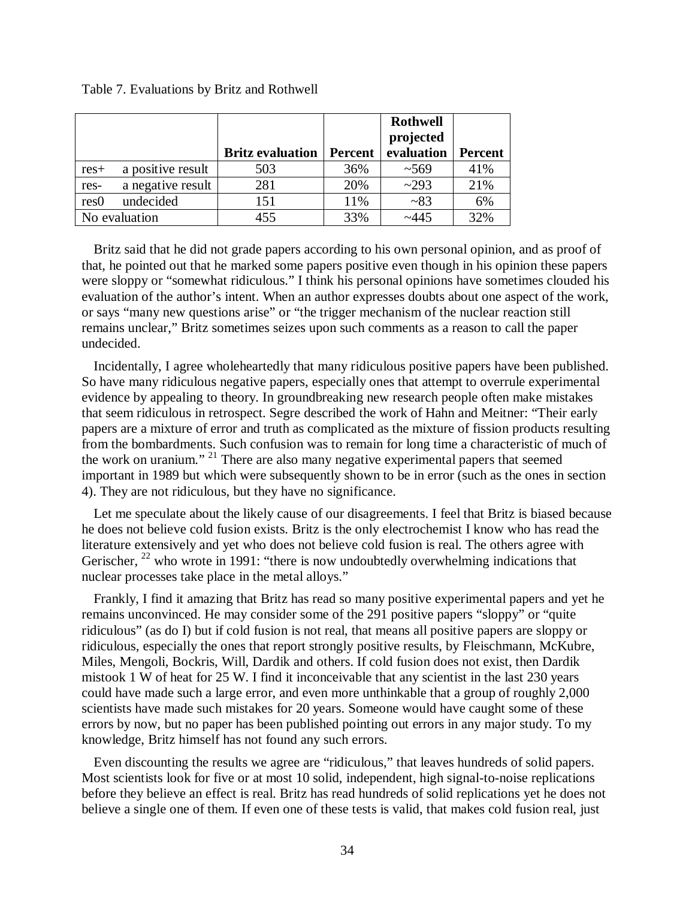#### Table 7. Evaluations by Britz and Rothwell

|                  |                   |                         |                | <b>Rothwell</b> |                |
|------------------|-------------------|-------------------------|----------------|-----------------|----------------|
|                  |                   |                         |                | projected       |                |
|                  |                   | <b>Britz evaluation</b> | <b>Percent</b> | evaluation      | <b>Percent</b> |
| $res+$           | a positive result | 503                     | 36%            | ~1.569          | 41%            |
| res-             | a negative result | 281                     | 20%            | ~293            | 21%            |
| res <sub>0</sub> | undecided         | 151                     | 11%            | ~283            | 6%             |
|                  | No evaluation     | 455                     | 33%            | ~1445           | 32%            |

Britz said that he did not grade papers according to his own personal opinion, and as proof of that, he pointed out that he marked some papers positive even though in his opinion these papers were sloppy or "somewhat ridiculous." I think his personal opinions have sometimes clouded his evaluation of the author's intent. When an author expresses doubts about one aspect of the work, or says "many new questions arise" or "the trigger mechanism of the nuclear reaction still remains unclear," Britz sometimes seizes upon such comments as a reason to call the paper undecided.

Incidentally, I agree wholeheartedly that many ridiculous positive papers have been published. So have many ridiculous negative papers, especially ones that attempt to overrule experimental evidence by appealing to theory. In groundbreaking new research people often make mistakes that seem ridiculous in retrospect. Segre described the work of Hahn and Meitner: "Their early papers are a mixture of error and truth as complicated as the mixture of fission products resulting from the bombardments. Such confusion was to remain for long time a characteristic of much of the work on uranium." [21](#page-34-20) There are also many negative experimental papers that seemed important in 1989 but which were subsequently shown to be in error (such as the ones in section 4). They are not ridiculous, but they have no significance.

Let me speculate about the likely cause of our disagreements. I feel that Britz is biased because he does not believe cold fusion exists. Britz is the only electrochemist I know who has read the literature extensively and yet who does not believe cold fusion is real. The others agree with Gerischer,  $^{22}$  $^{22}$  $^{22}$  who wrote in 1991: "there is now undoubtedly overwhelming indications that nuclear processes take place in the metal alloys."

Frankly, I find it amazing that Britz has read so many positive experimental papers and yet he remains unconvinced. He may consider some of the 291 positive papers "sloppy" or "quite ridiculous" (as do I) but if cold fusion is not real, that means all positive papers are sloppy or ridiculous, especially the ones that report strongly positive results, by Fleischmann, McKubre, Miles, Mengoli, Bockris, Will, Dardik and others. If cold fusion does not exist, then Dardik mistook 1 W of heat for 25 W. I find it inconceivable that any scientist in the last 230 years could have made such a large error, and even more unthinkable that a group of roughly 2,000 scientists have made such mistakes for 20 years. Someone would have caught some of these errors by now, but no paper has been published pointing out errors in any major study. To my knowledge, Britz himself has not found any such errors.

Even discounting the results we agree are "ridiculous," that leaves hundreds of solid papers. Most scientists look for five or at most 10 solid, independent, high signal-to-noise replications before they believe an effect is real. Britz has read hundreds of solid replications yet he does not believe a single one of them. If even one of these tests is valid, that makes cold fusion real, just